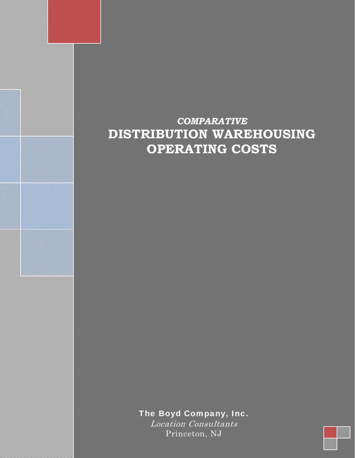## *COMPARATIVE* **DISTRIBUTION WAREHOUSING OPERATING COSTS**

The Boyd Company, Inc.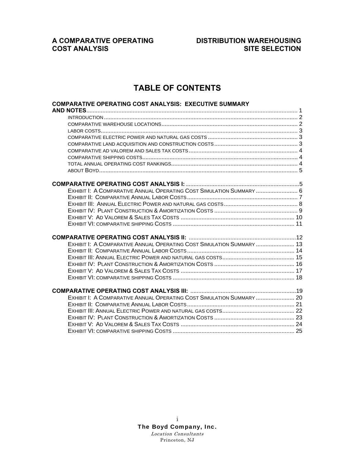## **COST ANALYSIS**

# **A COMPARATIVE OPERATING DISTRIBUTION WAREHOUSING**

### **TABLE OF CONTENTS**

| <b>COMPARATIVE OPERATING COST ANALYSIS: EXECUTIVE SUMMARY</b>         |  |
|-----------------------------------------------------------------------|--|
|                                                                       |  |
| EXHIBIT I: A COMPARATIVE ANNUAL OPERATING COST SIMULATION SUMMARY  6  |  |
|                                                                       |  |
| EXHIBIT I: A COMPARATIVE ANNUAL OPERATING COST SIMULATION SUMMARY  13 |  |
|                                                                       |  |
| EXHIBIT I: A COMPARATIVE ANNUAL OPERATING COST SIMULATION SUMMARY  20 |  |
|                                                                       |  |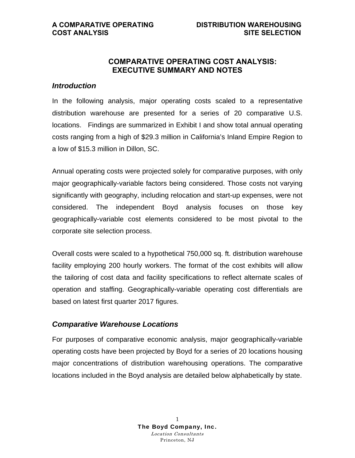### **COMPARATIVE OPERATING COST ANALYSIS: EXECUTIVE SUMMARY AND NOTES**

### *Introduction*

In the following analysis, major operating costs scaled to a representative distribution warehouse are presented for a series of 20 comparative U.S. locations. Findings are summarized in Exhibit I and show total annual operating costs ranging from a high of \$29.3 million in California's Inland Empire Region to a low of \$15.3 million in Dillon, SC.

Annual operating costs were projected solely for comparative purposes, with only major geographically-variable factors being considered. Those costs not varying significantly with geography, including relocation and start-up expenses, were not considered. The independent Boyd analysis focuses on those key geographically-variable cost elements considered to be most pivotal to the corporate site selection process.

Overall costs were scaled to a hypothetical 750,000 sq. ft. distribution warehouse facility employing 200 hourly workers. The format of the cost exhibits will allow the tailoring of cost data and facility specifications to reflect alternate scales of operation and staffing. Geographically-variable operating cost differentials are based on latest first quarter 2017 figures.

### *Comparative Warehouse Locations*

For purposes of comparative economic analysis, major geographically-variable operating costs have been projected by Boyd for a series of 20 locations housing major concentrations of distribution warehousing operations. The comparative locations included in the Boyd analysis are detailed below alphabetically by state.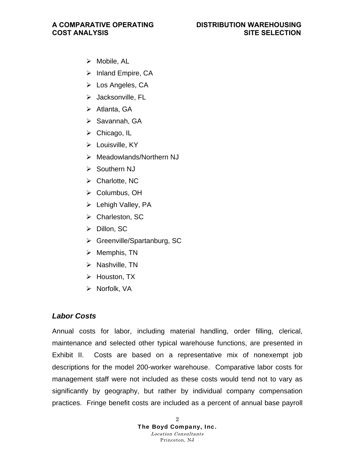- $\triangleright$  Mobile, AL
- $\triangleright$  Inland Empire, CA
- $\triangleright$  Los Angeles, CA
- $\triangleright$  Jacksonville, FL
- $\triangleright$  Atlanta, GA
- $\triangleright$  Savannah, GA
- $\triangleright$  Chicago, IL
- $\triangleright$  Louisville, KY
- Meadowlands/Northern NJ
- **▶ Southern NJ**
- $\triangleright$  Charlotte, NC
- ▶ Columbus, OH
- $\triangleright$  Lehigh Valley, PA
- Charleston, SC
- Dillon, SC
- Greenville/Spartanburg, SC
- $\triangleright$  Memphis, TN
- $\triangleright$  Nashville, TN
- $\triangleright$  Houston, TX
- $\triangleright$  Norfolk, VA

### *Labor Costs*

Annual costs for labor, including material handling, order filling, clerical, maintenance and selected other typical warehouse functions, are presented in Exhibit II. Costs are based on a representative mix of nonexempt job descriptions for the model 200-worker warehouse. Comparative labor costs for management staff were not included as these costs would tend not to vary as significantly by geography, but rather by individual company compensation practices. Fringe benefit costs are included as a percent of annual base payroll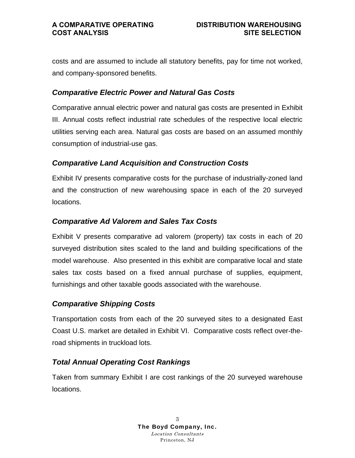costs and are assumed to include all statutory benefits, pay for time not worked, and company-sponsored benefits.

### *Comparative Electric Power and Natural Gas Costs*

Comparative annual electric power and natural gas costs are presented in Exhibit III. Annual costs reflect industrial rate schedules of the respective local electric utilities serving each area. Natural gas costs are based on an assumed monthly consumption of industrial-use gas.

### *Comparative Land Acquisition and Construction Costs*

Exhibit IV presents comparative costs for the purchase of industrially-zoned land and the construction of new warehousing space in each of the 20 surveyed locations.

### *Comparative Ad Valorem and Sales Tax Costs*

Exhibit V presents comparative ad valorem (property) tax costs in each of 20 surveyed distribution sites scaled to the land and building specifications of the model warehouse. Also presented in this exhibit are comparative local and state sales tax costs based on a fixed annual purchase of supplies, equipment, furnishings and other taxable goods associated with the warehouse.

### *Comparative Shipping Costs*

Transportation costs from each of the 20 surveyed sites to a designated East Coast U.S. market are detailed in Exhibit VI. Comparative costs reflect over-theroad shipments in truckload lots.

### *Total Annual Operating Cost Rankings*

Taken from summary Exhibit I are cost rankings of the 20 surveyed warehouse locations.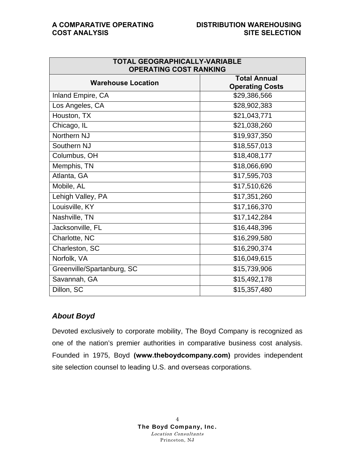| <b>TOTAL GEOGRAPHICALLY-VARIABLE</b><br><b>OPERATING COST RANKING</b> |                                               |  |  |  |  |  |  |  |
|-----------------------------------------------------------------------|-----------------------------------------------|--|--|--|--|--|--|--|
| <b>Warehouse Location</b>                                             | <b>Total Annual</b><br><b>Operating Costs</b> |  |  |  |  |  |  |  |
| Inland Empire, CA                                                     | \$29,386,566                                  |  |  |  |  |  |  |  |
| Los Angeles, CA                                                       | \$28,902,383                                  |  |  |  |  |  |  |  |
| Houston, TX                                                           | \$21,043,771                                  |  |  |  |  |  |  |  |
| Chicago, IL                                                           | \$21,038,260                                  |  |  |  |  |  |  |  |
| Northern NJ                                                           | \$19,937,350                                  |  |  |  |  |  |  |  |
| Southern NJ                                                           | \$18,557,013                                  |  |  |  |  |  |  |  |
| Columbus, OH                                                          | \$18,408,177                                  |  |  |  |  |  |  |  |
| Memphis, TN                                                           | \$18,066,690                                  |  |  |  |  |  |  |  |
| Atlanta, GA                                                           | \$17,595,703                                  |  |  |  |  |  |  |  |
| Mobile, AL                                                            | \$17,510,626                                  |  |  |  |  |  |  |  |
| Lehigh Valley, PA                                                     | \$17,351,260                                  |  |  |  |  |  |  |  |
| Louisville, KY                                                        | \$17,166,370                                  |  |  |  |  |  |  |  |
| Nashville, TN                                                         | \$17,142,284                                  |  |  |  |  |  |  |  |
| Jacksonville, FL                                                      | \$16,448,396                                  |  |  |  |  |  |  |  |
| Charlotte, NC                                                         | \$16,299,580                                  |  |  |  |  |  |  |  |
| Charleston, SC                                                        | \$16,290,374                                  |  |  |  |  |  |  |  |
| Norfolk, VA                                                           | \$16,049,615                                  |  |  |  |  |  |  |  |
| Greenville/Spartanburg, SC                                            | \$15,739,906                                  |  |  |  |  |  |  |  |
| Savannah, GA                                                          | \$15,492,178                                  |  |  |  |  |  |  |  |
| Dillon, SC                                                            | \$15,357,480                                  |  |  |  |  |  |  |  |

### *About Boyd*

Devoted exclusively to corporate mobility, The Boyd Company is recognized as one of the nation's premier authorities in comparative business cost analysis. Founded in 1975, Boyd **(www.theboydcompany.com)** provides independent site selection counsel to leading U.S. and overseas corporations.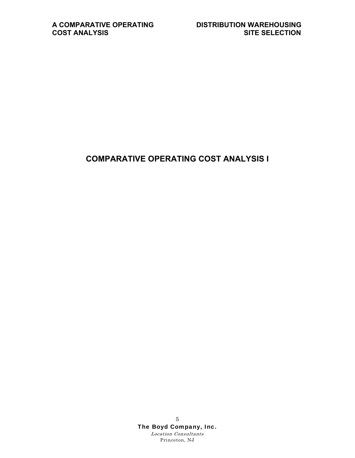### **COMPARATIVE OPERATING COST ANALYSIS I**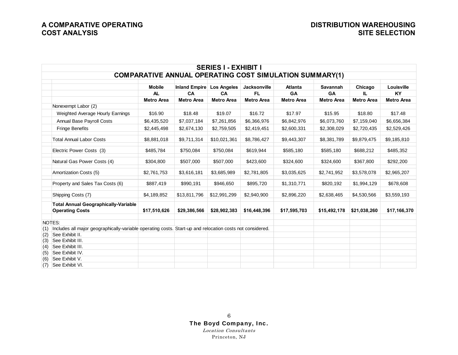|     |                                                                                                               |                   |                      | <b>SERIES I - EXHIBIT I</b> |                     |                                                                |                   |                   |                   |
|-----|---------------------------------------------------------------------------------------------------------------|-------------------|----------------------|-----------------------------|---------------------|----------------------------------------------------------------|-------------------|-------------------|-------------------|
|     |                                                                                                               |                   |                      |                             |                     | <b>COMPARATIVE ANNUAL OPERATING COST SIMULATION SUMMARY(1)</b> |                   |                   |                   |
|     |                                                                                                               | <b>Mobile</b>     | <b>Inland Empire</b> | <b>Los Angeles</b>          | <b>Jacksonville</b> | <b>Atlanta</b>                                                 | <b>Savannah</b>   | Chicago           | Louisville        |
|     |                                                                                                               | <b>AL</b>         | CA                   | CA                          | <b>FL</b>           | <b>GA</b>                                                      | <b>GA</b>         | IL.               | <b>KY</b>         |
|     |                                                                                                               | <b>Metro Area</b> | <b>Metro Area</b>    | <b>Metro Area</b>           | <b>Metro Area</b>   | <b>Metro Area</b>                                              | <b>Metro Area</b> | <b>Metro Area</b> | <b>Metro Area</b> |
|     | Nonexempt Labor (2)                                                                                           |                   |                      |                             |                     |                                                                |                   |                   |                   |
|     | Weighted Average Hourly Earnings                                                                              | \$16.90           | \$18.48              | \$19.07                     | \$16.72             | \$17.97                                                        | \$15.95           | \$18.80           | \$17.48           |
|     | <b>Annual Base Payroll Costs</b>                                                                              | \$6,435,520       | \$7,037,184          | \$7,261,856                 | \$6,366,976         | \$6,842,976                                                    | \$6,073,760       | \$7,159,040       | \$6,656,384       |
|     | Fringe Benefits                                                                                               | \$2,445,498       | \$2,674,130          | \$2,759,505                 | \$2,419,451         | \$2,600,331                                                    | \$2,308,029       | \$2,720,435       | \$2,529,426       |
|     | <b>Total Annual Labor Costs</b>                                                                               | \$8,881,018       | \$9,711,314          | \$10,021,361                | \$8,786,427         | \$9,443,307                                                    | \$8,381,789       | \$9,879,475       | \$9,185,810       |
|     | Electric Power Costs (3)                                                                                      | \$485,784         | \$750,084            | \$750,084                   | \$619,944           | \$585,180                                                      | \$585,180         | \$688,212         | \$485,352         |
|     | Natural Gas Power Costs (4)                                                                                   | \$304,800         | \$507,000            | \$507,000                   | \$423,600           | \$324,600                                                      | \$324,600         | \$367,800         | \$292,200         |
|     | Amortization Costs (5)                                                                                        | \$2,761,753       | \$3,616,181          | \$3,685,989                 | \$2,781,805         | \$3,035,625                                                    | \$2,741,952       | \$3,578,078       | \$2,965,207       |
|     | Property and Sales Tax Costs (6)                                                                              | \$887,419         | \$990,191            | \$946,650                   | \$895,720           | \$1,310,771                                                    | \$820,192         | \$1,994,129       | \$678,608         |
|     | Shipping Costs (7)                                                                                            | \$4,189,852       | \$13,811,796         | \$12,991,299                | \$2,940,900         | \$2,896,220                                                    | \$2,638,465       | \$4,530,566       | \$3,559,193       |
|     | <b>Total Annual Geographically-Variable</b><br><b>Operating Costs</b>                                         | \$17,510,626      | \$29,386,566         | \$28,902,383                | \$16,448,396        | \$17,595,703                                                   | \$15,492,178      | \$21,038,260      | \$17,166,370      |
|     | NOTES:                                                                                                        |                   |                      |                             |                     |                                                                |                   |                   |                   |
|     | (1) Includes all major geographically-variable operating costs. Start-up and relocation costs not considered. |                   |                      |                             |                     |                                                                |                   |                   |                   |
| (2) | See Exhibit II.                                                                                               |                   |                      |                             |                     |                                                                |                   |                   |                   |
| (3) | See Exhibit III.                                                                                              |                   |                      |                             |                     |                                                                |                   |                   |                   |
| (4) | See Exhibit III.                                                                                              |                   |                      |                             |                     |                                                                |                   |                   |                   |
| (5) | See Exhibit IV.                                                                                               |                   |                      |                             |                     |                                                                |                   |                   |                   |
| (6) | See Exhibit V.                                                                                                |                   |                      |                             |                     |                                                                |                   |                   |                   |
| (7) | See Exhibit VI.                                                                                               |                   |                      |                             |                     |                                                                |                   |                   |                   |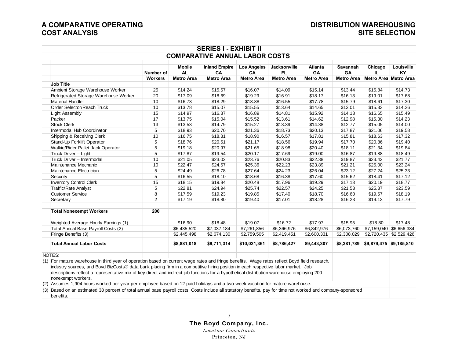| <b>COMPARATIVE ANNUAL LABOR COSTS</b><br><b>Mobile</b><br><b>Inland Empire</b><br><b>Los Angeles</b><br><b>Jacksonville</b><br><b>Atlanta</b><br><b>Savannah</b><br>Chicago<br>AL<br>Number of<br>CA<br>CA<br>FL.<br>GA<br>GA<br>IL.<br>KY<br><b>Metro Area</b><br>Metro Area Metro Area<br><b>Workers</b><br><b>Metro Area</b><br><b>Metro Area</b><br><b>Metro Area</b><br><b>Metro Area</b><br><b>Metro Area</b><br><b>Job Title</b><br>Ambient Storage Warehouse Worker<br>25<br>\$14.24<br>\$15.57<br>\$16.07<br>\$14.09<br>\$15.14<br>\$13.44<br>\$15.84<br>Refrigerated Storage Warehouse Worker<br>20<br>\$18.69<br>\$17.09<br>\$19.29<br>\$16.91<br>\$18.17<br>\$16.13<br>\$19.01<br>\$17.68<br><b>Material Handler</b><br>10<br>\$18.29<br>\$18.88<br>\$16.73<br>\$16.55<br>\$17.78<br>\$15.79<br>\$18.61<br>\$17.30<br>10<br>Order Selector/Reach Truck<br>\$13.78<br>\$15.07<br>\$15.55<br>\$13.64<br>\$14.65<br>\$13.01<br>\$15.33<br>15<br>\$16.37<br>\$16.89<br>\$14.13<br>\$16.65<br>\$15.49<br>Light Assembly<br>\$14.97<br>\$14.81<br>\$15.92<br>17<br>\$15.04<br>\$15.30<br>\$14.23<br>Packer<br>\$13.75<br>\$15.52<br>\$13.61<br>\$14.62<br>\$12.98<br><b>Stock Clerk</b><br>\$13.53<br>\$14.79<br>\$15.27<br>\$13.39<br>\$12.77<br>\$15.05<br>\$14.00<br>13<br>\$14.38<br>Intermodal Hub Coordinator<br>5<br>\$18.93<br>\$20.70<br>\$21.36<br>\$18.73<br>\$20.13<br>\$17.87<br>\$21.06<br>\$19.58<br>\$18.31<br>\$17.32<br>Shipping & Receiving Clerk<br>10<br>\$16.75<br>\$18.90<br>\$16.57<br>\$17.81<br>\$15.81<br>\$18.63<br>5<br>\$20.51<br>\$19.40<br>Stand-Up Forklift Operator<br>\$18.76<br>\$21.17<br>\$18.56<br>\$19.94<br>\$17.70<br>\$20.86<br>Walkie/Rider Pallet Jack Operator<br>5<br>\$20.97<br>\$21.65<br>\$18.98<br>\$20.40<br>\$18.11<br>\$21.34<br>\$19.18<br>5<br>Truck Driver - Light<br>\$17.87<br>\$19.54<br>\$20.17<br>\$16.87<br>\$19.88<br>\$17.69<br>\$19.00<br>10<br>\$23.02<br>\$20.83<br>\$22.38<br>\$23.42<br>Truck Driver - Intermodal<br>\$21.05<br>\$23.76<br>\$19.87<br>\$24.57<br>\$25.36<br>\$22.23<br>\$25.00<br>Maintenance Mechanic<br>10<br>\$22.47<br>\$23.89<br>\$21.21<br>5<br>\$24.49<br>\$26.78<br>\$26.04<br>\$23.12<br>\$27.24<br>Maintenance Electrician<br>\$27.64<br>\$24.23<br>5<br>\$16.38<br>\$16.55<br>\$18.10<br>\$18.68<br>\$17.60<br>\$15.62<br>\$18.41<br>Security<br><b>Inventory Control Clerk</b><br>15<br>\$19.84<br>\$17.96<br>\$17.13<br>\$20.19<br>\$18.15<br>\$20.48<br>\$19.29<br>Traffic/Rate Analyst<br>\$22.81<br>\$25.74<br>\$22.57<br>\$21.53<br>\$25.37<br>5<br>\$24.94<br>\$24.25<br>8<br><b>Customer Service</b><br>\$17.59<br>\$19.23<br>\$19.85<br>\$17.40<br>\$18.70<br>\$16.60<br>\$19.57<br>$\overline{2}$<br>\$17.19<br>\$18.80<br>\$19.40<br>\$17.01<br>\$18.28<br>\$16.23<br>\$19.13<br>Secretary<br><b>Total Nonexempt Workers</b><br>200<br>\$18.48<br>\$19.07<br>\$16.72<br>\$17.97<br>\$15.95<br>\$18.80<br>Weighted Average Hourly Earnings (1)<br>\$16.90<br>Total Annual Base Payroll Costs (2)<br>\$7,037,184<br>\$6,366,976<br>\$6,073,760<br>\$7,159,040 \$6,656,384<br>\$6,435,520<br>\$7,261,856<br>\$6,842,976<br>Fringe Benefits (3)<br>\$2,445,498<br>\$2,674,130<br>\$2,759,505<br>\$2,419,451<br>\$2,600,331<br>\$2,308,029<br>\$2,720,435 \$2,529,426<br><b>Total Annual Labor Costs</b><br>\$10,021,361<br>\$8,881,018<br>\$9,711,314<br>\$8,786,427<br>\$9,443,307<br>NOTES:<br>(1) For mature warehouse in third year of operation based on current wage rates and fringe benefits. Wage rates reflect Boyd field research,<br>industry sources, and Boyd BizCosts® data bank placing firm in a competitive hiring position in each respective labor market. Job<br>descriptions reflect a representative mix of key direct and indirect job functions for a hypothetical distribution warehouse employing 200<br>nonexempt workers.<br>(2) Assumes 1,904 hours worked per year per employee based on 12 paid holidays and a two-week vacation for mature warehouse.<br>(3) Based on an estimated 38 percent of total annual base payroll costs. Costs include all statutory benefits, pay for time not worked and company-sponsored |  | <b>SERIES I - EXHIBIT II</b> |  |  |            |
|----------------------------------------------------------------------------------------------------------------------------------------------------------------------------------------------------------------------------------------------------------------------------------------------------------------------------------------------------------------------------------------------------------------------------------------------------------------------------------------------------------------------------------------------------------------------------------------------------------------------------------------------------------------------------------------------------------------------------------------------------------------------------------------------------------------------------------------------------------------------------------------------------------------------------------------------------------------------------------------------------------------------------------------------------------------------------------------------------------------------------------------------------------------------------------------------------------------------------------------------------------------------------------------------------------------------------------------------------------------------------------------------------------------------------------------------------------------------------------------------------------------------------------------------------------------------------------------------------------------------------------------------------------------------------------------------------------------------------------------------------------------------------------------------------------------------------------------------------------------------------------------------------------------------------------------------------------------------------------------------------------------------------------------------------------------------------------------------------------------------------------------------------------------------------------------------------------------------------------------------------------------------------------------------------------------------------------------------------------------------------------------------------------------------------------------------------------------------------------------------------------------------------------------------------------------------------------------------------------------------------------------------------------------------------------------------------------------------------------------------------------------------------------------------------------------------------------------------------------------------------------------------------------------------------------------------------------------------------------------------------------------------------------------------------------------------------------------------------------------------------------------------------------------------------------------------------------------------------------------------------------------------------------------------------------------------------------------------------------------------------------------------------------------------------------------------------------------------------------------------------------------------------------------------------------------------------------------------------------------------------------------------------------------------------------------------------------------------------------------------------------------------------------------------------------------------------------------------------------------------------------------------------------------------------------------------------------------------------------------------------------------------------------------------------------------------------------------------------------------------------------------------------------------------|--|------------------------------|--|--|------------|
|                                                                                                                                                                                                                                                                                                                                                                                                                                                                                                                                                                                                                                                                                                                                                                                                                                                                                                                                                                                                                                                                                                                                                                                                                                                                                                                                                                                                                                                                                                                                                                                                                                                                                                                                                                                                                                                                                                                                                                                                                                                                                                                                                                                                                                                                                                                                                                                                                                                                                                                                                                                                                                                                                                                                                                                                                                                                                                                                                                                                                                                                                                                                                                                                                                                                                                                                                                                                                                                                                                                                                                                                                                                                                                                                                                                                                                                                                                                                                                                                                                                                                                                                                                      |  |                              |  |  |            |
|                                                                                                                                                                                                                                                                                                                                                                                                                                                                                                                                                                                                                                                                                                                                                                                                                                                                                                                                                                                                                                                                                                                                                                                                                                                                                                                                                                                                                                                                                                                                                                                                                                                                                                                                                                                                                                                                                                                                                                                                                                                                                                                                                                                                                                                                                                                                                                                                                                                                                                                                                                                                                                                                                                                                                                                                                                                                                                                                                                                                                                                                                                                                                                                                                                                                                                                                                                                                                                                                                                                                                                                                                                                                                                                                                                                                                                                                                                                                                                                                                                                                                                                                                                      |  |                              |  |  | Louisville |
|                                                                                                                                                                                                                                                                                                                                                                                                                                                                                                                                                                                                                                                                                                                                                                                                                                                                                                                                                                                                                                                                                                                                                                                                                                                                                                                                                                                                                                                                                                                                                                                                                                                                                                                                                                                                                                                                                                                                                                                                                                                                                                                                                                                                                                                                                                                                                                                                                                                                                                                                                                                                                                                                                                                                                                                                                                                                                                                                                                                                                                                                                                                                                                                                                                                                                                                                                                                                                                                                                                                                                                                                                                                                                                                                                                                                                                                                                                                                                                                                                                                                                                                                                                      |  |                              |  |  |            |
|                                                                                                                                                                                                                                                                                                                                                                                                                                                                                                                                                                                                                                                                                                                                                                                                                                                                                                                                                                                                                                                                                                                                                                                                                                                                                                                                                                                                                                                                                                                                                                                                                                                                                                                                                                                                                                                                                                                                                                                                                                                                                                                                                                                                                                                                                                                                                                                                                                                                                                                                                                                                                                                                                                                                                                                                                                                                                                                                                                                                                                                                                                                                                                                                                                                                                                                                                                                                                                                                                                                                                                                                                                                                                                                                                                                                                                                                                                                                                                                                                                                                                                                                                                      |  |                              |  |  |            |
|                                                                                                                                                                                                                                                                                                                                                                                                                                                                                                                                                                                                                                                                                                                                                                                                                                                                                                                                                                                                                                                                                                                                                                                                                                                                                                                                                                                                                                                                                                                                                                                                                                                                                                                                                                                                                                                                                                                                                                                                                                                                                                                                                                                                                                                                                                                                                                                                                                                                                                                                                                                                                                                                                                                                                                                                                                                                                                                                                                                                                                                                                                                                                                                                                                                                                                                                                                                                                                                                                                                                                                                                                                                                                                                                                                                                                                                                                                                                                                                                                                                                                                                                                                      |  |                              |  |  | \$14.73    |
|                                                                                                                                                                                                                                                                                                                                                                                                                                                                                                                                                                                                                                                                                                                                                                                                                                                                                                                                                                                                                                                                                                                                                                                                                                                                                                                                                                                                                                                                                                                                                                                                                                                                                                                                                                                                                                                                                                                                                                                                                                                                                                                                                                                                                                                                                                                                                                                                                                                                                                                                                                                                                                                                                                                                                                                                                                                                                                                                                                                                                                                                                                                                                                                                                                                                                                                                                                                                                                                                                                                                                                                                                                                                                                                                                                                                                                                                                                                                                                                                                                                                                                                                                                      |  |                              |  |  |            |
|                                                                                                                                                                                                                                                                                                                                                                                                                                                                                                                                                                                                                                                                                                                                                                                                                                                                                                                                                                                                                                                                                                                                                                                                                                                                                                                                                                                                                                                                                                                                                                                                                                                                                                                                                                                                                                                                                                                                                                                                                                                                                                                                                                                                                                                                                                                                                                                                                                                                                                                                                                                                                                                                                                                                                                                                                                                                                                                                                                                                                                                                                                                                                                                                                                                                                                                                                                                                                                                                                                                                                                                                                                                                                                                                                                                                                                                                                                                                                                                                                                                                                                                                                                      |  |                              |  |  |            |
|                                                                                                                                                                                                                                                                                                                                                                                                                                                                                                                                                                                                                                                                                                                                                                                                                                                                                                                                                                                                                                                                                                                                                                                                                                                                                                                                                                                                                                                                                                                                                                                                                                                                                                                                                                                                                                                                                                                                                                                                                                                                                                                                                                                                                                                                                                                                                                                                                                                                                                                                                                                                                                                                                                                                                                                                                                                                                                                                                                                                                                                                                                                                                                                                                                                                                                                                                                                                                                                                                                                                                                                                                                                                                                                                                                                                                                                                                                                                                                                                                                                                                                                                                                      |  |                              |  |  | \$14.26    |
|                                                                                                                                                                                                                                                                                                                                                                                                                                                                                                                                                                                                                                                                                                                                                                                                                                                                                                                                                                                                                                                                                                                                                                                                                                                                                                                                                                                                                                                                                                                                                                                                                                                                                                                                                                                                                                                                                                                                                                                                                                                                                                                                                                                                                                                                                                                                                                                                                                                                                                                                                                                                                                                                                                                                                                                                                                                                                                                                                                                                                                                                                                                                                                                                                                                                                                                                                                                                                                                                                                                                                                                                                                                                                                                                                                                                                                                                                                                                                                                                                                                                                                                                                                      |  |                              |  |  |            |
|                                                                                                                                                                                                                                                                                                                                                                                                                                                                                                                                                                                                                                                                                                                                                                                                                                                                                                                                                                                                                                                                                                                                                                                                                                                                                                                                                                                                                                                                                                                                                                                                                                                                                                                                                                                                                                                                                                                                                                                                                                                                                                                                                                                                                                                                                                                                                                                                                                                                                                                                                                                                                                                                                                                                                                                                                                                                                                                                                                                                                                                                                                                                                                                                                                                                                                                                                                                                                                                                                                                                                                                                                                                                                                                                                                                                                                                                                                                                                                                                                                                                                                                                                                      |  |                              |  |  |            |
|                                                                                                                                                                                                                                                                                                                                                                                                                                                                                                                                                                                                                                                                                                                                                                                                                                                                                                                                                                                                                                                                                                                                                                                                                                                                                                                                                                                                                                                                                                                                                                                                                                                                                                                                                                                                                                                                                                                                                                                                                                                                                                                                                                                                                                                                                                                                                                                                                                                                                                                                                                                                                                                                                                                                                                                                                                                                                                                                                                                                                                                                                                                                                                                                                                                                                                                                                                                                                                                                                                                                                                                                                                                                                                                                                                                                                                                                                                                                                                                                                                                                                                                                                                      |  |                              |  |  |            |
|                                                                                                                                                                                                                                                                                                                                                                                                                                                                                                                                                                                                                                                                                                                                                                                                                                                                                                                                                                                                                                                                                                                                                                                                                                                                                                                                                                                                                                                                                                                                                                                                                                                                                                                                                                                                                                                                                                                                                                                                                                                                                                                                                                                                                                                                                                                                                                                                                                                                                                                                                                                                                                                                                                                                                                                                                                                                                                                                                                                                                                                                                                                                                                                                                                                                                                                                                                                                                                                                                                                                                                                                                                                                                                                                                                                                                                                                                                                                                                                                                                                                                                                                                                      |  |                              |  |  |            |
|                                                                                                                                                                                                                                                                                                                                                                                                                                                                                                                                                                                                                                                                                                                                                                                                                                                                                                                                                                                                                                                                                                                                                                                                                                                                                                                                                                                                                                                                                                                                                                                                                                                                                                                                                                                                                                                                                                                                                                                                                                                                                                                                                                                                                                                                                                                                                                                                                                                                                                                                                                                                                                                                                                                                                                                                                                                                                                                                                                                                                                                                                                                                                                                                                                                                                                                                                                                                                                                                                                                                                                                                                                                                                                                                                                                                                                                                                                                                                                                                                                                                                                                                                                      |  |                              |  |  |            |
|                                                                                                                                                                                                                                                                                                                                                                                                                                                                                                                                                                                                                                                                                                                                                                                                                                                                                                                                                                                                                                                                                                                                                                                                                                                                                                                                                                                                                                                                                                                                                                                                                                                                                                                                                                                                                                                                                                                                                                                                                                                                                                                                                                                                                                                                                                                                                                                                                                                                                                                                                                                                                                                                                                                                                                                                                                                                                                                                                                                                                                                                                                                                                                                                                                                                                                                                                                                                                                                                                                                                                                                                                                                                                                                                                                                                                                                                                                                                                                                                                                                                                                                                                                      |  |                              |  |  |            |
|                                                                                                                                                                                                                                                                                                                                                                                                                                                                                                                                                                                                                                                                                                                                                                                                                                                                                                                                                                                                                                                                                                                                                                                                                                                                                                                                                                                                                                                                                                                                                                                                                                                                                                                                                                                                                                                                                                                                                                                                                                                                                                                                                                                                                                                                                                                                                                                                                                                                                                                                                                                                                                                                                                                                                                                                                                                                                                                                                                                                                                                                                                                                                                                                                                                                                                                                                                                                                                                                                                                                                                                                                                                                                                                                                                                                                                                                                                                                                                                                                                                                                                                                                                      |  |                              |  |  |            |
|                                                                                                                                                                                                                                                                                                                                                                                                                                                                                                                                                                                                                                                                                                                                                                                                                                                                                                                                                                                                                                                                                                                                                                                                                                                                                                                                                                                                                                                                                                                                                                                                                                                                                                                                                                                                                                                                                                                                                                                                                                                                                                                                                                                                                                                                                                                                                                                                                                                                                                                                                                                                                                                                                                                                                                                                                                                                                                                                                                                                                                                                                                                                                                                                                                                                                                                                                                                                                                                                                                                                                                                                                                                                                                                                                                                                                                                                                                                                                                                                                                                                                                                                                                      |  |                              |  |  | \$19.84    |
|                                                                                                                                                                                                                                                                                                                                                                                                                                                                                                                                                                                                                                                                                                                                                                                                                                                                                                                                                                                                                                                                                                                                                                                                                                                                                                                                                                                                                                                                                                                                                                                                                                                                                                                                                                                                                                                                                                                                                                                                                                                                                                                                                                                                                                                                                                                                                                                                                                                                                                                                                                                                                                                                                                                                                                                                                                                                                                                                                                                                                                                                                                                                                                                                                                                                                                                                                                                                                                                                                                                                                                                                                                                                                                                                                                                                                                                                                                                                                                                                                                                                                                                                                                      |  |                              |  |  | \$18.49    |
|                                                                                                                                                                                                                                                                                                                                                                                                                                                                                                                                                                                                                                                                                                                                                                                                                                                                                                                                                                                                                                                                                                                                                                                                                                                                                                                                                                                                                                                                                                                                                                                                                                                                                                                                                                                                                                                                                                                                                                                                                                                                                                                                                                                                                                                                                                                                                                                                                                                                                                                                                                                                                                                                                                                                                                                                                                                                                                                                                                                                                                                                                                                                                                                                                                                                                                                                                                                                                                                                                                                                                                                                                                                                                                                                                                                                                                                                                                                                                                                                                                                                                                                                                                      |  |                              |  |  | \$21.77    |
|                                                                                                                                                                                                                                                                                                                                                                                                                                                                                                                                                                                                                                                                                                                                                                                                                                                                                                                                                                                                                                                                                                                                                                                                                                                                                                                                                                                                                                                                                                                                                                                                                                                                                                                                                                                                                                                                                                                                                                                                                                                                                                                                                                                                                                                                                                                                                                                                                                                                                                                                                                                                                                                                                                                                                                                                                                                                                                                                                                                                                                                                                                                                                                                                                                                                                                                                                                                                                                                                                                                                                                                                                                                                                                                                                                                                                                                                                                                                                                                                                                                                                                                                                                      |  |                              |  |  | \$23.24    |
|                                                                                                                                                                                                                                                                                                                                                                                                                                                                                                                                                                                                                                                                                                                                                                                                                                                                                                                                                                                                                                                                                                                                                                                                                                                                                                                                                                                                                                                                                                                                                                                                                                                                                                                                                                                                                                                                                                                                                                                                                                                                                                                                                                                                                                                                                                                                                                                                                                                                                                                                                                                                                                                                                                                                                                                                                                                                                                                                                                                                                                                                                                                                                                                                                                                                                                                                                                                                                                                                                                                                                                                                                                                                                                                                                                                                                                                                                                                                                                                                                                                                                                                                                                      |  |                              |  |  | \$25.33    |
|                                                                                                                                                                                                                                                                                                                                                                                                                                                                                                                                                                                                                                                                                                                                                                                                                                                                                                                                                                                                                                                                                                                                                                                                                                                                                                                                                                                                                                                                                                                                                                                                                                                                                                                                                                                                                                                                                                                                                                                                                                                                                                                                                                                                                                                                                                                                                                                                                                                                                                                                                                                                                                                                                                                                                                                                                                                                                                                                                                                                                                                                                                                                                                                                                                                                                                                                                                                                                                                                                                                                                                                                                                                                                                                                                                                                                                                                                                                                                                                                                                                                                                                                                                      |  |                              |  |  | \$17.12    |
|                                                                                                                                                                                                                                                                                                                                                                                                                                                                                                                                                                                                                                                                                                                                                                                                                                                                                                                                                                                                                                                                                                                                                                                                                                                                                                                                                                                                                                                                                                                                                                                                                                                                                                                                                                                                                                                                                                                                                                                                                                                                                                                                                                                                                                                                                                                                                                                                                                                                                                                                                                                                                                                                                                                                                                                                                                                                                                                                                                                                                                                                                                                                                                                                                                                                                                                                                                                                                                                                                                                                                                                                                                                                                                                                                                                                                                                                                                                                                                                                                                                                                                                                                                      |  |                              |  |  | \$18.77    |
|                                                                                                                                                                                                                                                                                                                                                                                                                                                                                                                                                                                                                                                                                                                                                                                                                                                                                                                                                                                                                                                                                                                                                                                                                                                                                                                                                                                                                                                                                                                                                                                                                                                                                                                                                                                                                                                                                                                                                                                                                                                                                                                                                                                                                                                                                                                                                                                                                                                                                                                                                                                                                                                                                                                                                                                                                                                                                                                                                                                                                                                                                                                                                                                                                                                                                                                                                                                                                                                                                                                                                                                                                                                                                                                                                                                                                                                                                                                                                                                                                                                                                                                                                                      |  |                              |  |  | \$23.59    |
|                                                                                                                                                                                                                                                                                                                                                                                                                                                                                                                                                                                                                                                                                                                                                                                                                                                                                                                                                                                                                                                                                                                                                                                                                                                                                                                                                                                                                                                                                                                                                                                                                                                                                                                                                                                                                                                                                                                                                                                                                                                                                                                                                                                                                                                                                                                                                                                                                                                                                                                                                                                                                                                                                                                                                                                                                                                                                                                                                                                                                                                                                                                                                                                                                                                                                                                                                                                                                                                                                                                                                                                                                                                                                                                                                                                                                                                                                                                                                                                                                                                                                                                                                                      |  |                              |  |  | \$18.19    |
|                                                                                                                                                                                                                                                                                                                                                                                                                                                                                                                                                                                                                                                                                                                                                                                                                                                                                                                                                                                                                                                                                                                                                                                                                                                                                                                                                                                                                                                                                                                                                                                                                                                                                                                                                                                                                                                                                                                                                                                                                                                                                                                                                                                                                                                                                                                                                                                                                                                                                                                                                                                                                                                                                                                                                                                                                                                                                                                                                                                                                                                                                                                                                                                                                                                                                                                                                                                                                                                                                                                                                                                                                                                                                                                                                                                                                                                                                                                                                                                                                                                                                                                                                                      |  |                              |  |  | \$17.79    |
|                                                                                                                                                                                                                                                                                                                                                                                                                                                                                                                                                                                                                                                                                                                                                                                                                                                                                                                                                                                                                                                                                                                                                                                                                                                                                                                                                                                                                                                                                                                                                                                                                                                                                                                                                                                                                                                                                                                                                                                                                                                                                                                                                                                                                                                                                                                                                                                                                                                                                                                                                                                                                                                                                                                                                                                                                                                                                                                                                                                                                                                                                                                                                                                                                                                                                                                                                                                                                                                                                                                                                                                                                                                                                                                                                                                                                                                                                                                                                                                                                                                                                                                                                                      |  |                              |  |  |            |
|                                                                                                                                                                                                                                                                                                                                                                                                                                                                                                                                                                                                                                                                                                                                                                                                                                                                                                                                                                                                                                                                                                                                                                                                                                                                                                                                                                                                                                                                                                                                                                                                                                                                                                                                                                                                                                                                                                                                                                                                                                                                                                                                                                                                                                                                                                                                                                                                                                                                                                                                                                                                                                                                                                                                                                                                                                                                                                                                                                                                                                                                                                                                                                                                                                                                                                                                                                                                                                                                                                                                                                                                                                                                                                                                                                                                                                                                                                                                                                                                                                                                                                                                                                      |  |                              |  |  | \$17.48    |
|                                                                                                                                                                                                                                                                                                                                                                                                                                                                                                                                                                                                                                                                                                                                                                                                                                                                                                                                                                                                                                                                                                                                                                                                                                                                                                                                                                                                                                                                                                                                                                                                                                                                                                                                                                                                                                                                                                                                                                                                                                                                                                                                                                                                                                                                                                                                                                                                                                                                                                                                                                                                                                                                                                                                                                                                                                                                                                                                                                                                                                                                                                                                                                                                                                                                                                                                                                                                                                                                                                                                                                                                                                                                                                                                                                                                                                                                                                                                                                                                                                                                                                                                                                      |  |                              |  |  |            |
|                                                                                                                                                                                                                                                                                                                                                                                                                                                                                                                                                                                                                                                                                                                                                                                                                                                                                                                                                                                                                                                                                                                                                                                                                                                                                                                                                                                                                                                                                                                                                                                                                                                                                                                                                                                                                                                                                                                                                                                                                                                                                                                                                                                                                                                                                                                                                                                                                                                                                                                                                                                                                                                                                                                                                                                                                                                                                                                                                                                                                                                                                                                                                                                                                                                                                                                                                                                                                                                                                                                                                                                                                                                                                                                                                                                                                                                                                                                                                                                                                                                                                                                                                                      |  |                              |  |  |            |
|                                                                                                                                                                                                                                                                                                                                                                                                                                                                                                                                                                                                                                                                                                                                                                                                                                                                                                                                                                                                                                                                                                                                                                                                                                                                                                                                                                                                                                                                                                                                                                                                                                                                                                                                                                                                                                                                                                                                                                                                                                                                                                                                                                                                                                                                                                                                                                                                                                                                                                                                                                                                                                                                                                                                                                                                                                                                                                                                                                                                                                                                                                                                                                                                                                                                                                                                                                                                                                                                                                                                                                                                                                                                                                                                                                                                                                                                                                                                                                                                                                                                                                                                                                      |  |                              |  |  |            |
|                                                                                                                                                                                                                                                                                                                                                                                                                                                                                                                                                                                                                                                                                                                                                                                                                                                                                                                                                                                                                                                                                                                                                                                                                                                                                                                                                                                                                                                                                                                                                                                                                                                                                                                                                                                                                                                                                                                                                                                                                                                                                                                                                                                                                                                                                                                                                                                                                                                                                                                                                                                                                                                                                                                                                                                                                                                                                                                                                                                                                                                                                                                                                                                                                                                                                                                                                                                                                                                                                                                                                                                                                                                                                                                                                                                                                                                                                                                                                                                                                                                                                                                                                                      |  |                              |  |  |            |
|                                                                                                                                                                                                                                                                                                                                                                                                                                                                                                                                                                                                                                                                                                                                                                                                                                                                                                                                                                                                                                                                                                                                                                                                                                                                                                                                                                                                                                                                                                                                                                                                                                                                                                                                                                                                                                                                                                                                                                                                                                                                                                                                                                                                                                                                                                                                                                                                                                                                                                                                                                                                                                                                                                                                                                                                                                                                                                                                                                                                                                                                                                                                                                                                                                                                                                                                                                                                                                                                                                                                                                                                                                                                                                                                                                                                                                                                                                                                                                                                                                                                                                                                                                      |  |                              |  |  |            |
|                                                                                                                                                                                                                                                                                                                                                                                                                                                                                                                                                                                                                                                                                                                                                                                                                                                                                                                                                                                                                                                                                                                                                                                                                                                                                                                                                                                                                                                                                                                                                                                                                                                                                                                                                                                                                                                                                                                                                                                                                                                                                                                                                                                                                                                                                                                                                                                                                                                                                                                                                                                                                                                                                                                                                                                                                                                                                                                                                                                                                                                                                                                                                                                                                                                                                                                                                                                                                                                                                                                                                                                                                                                                                                                                                                                                                                                                                                                                                                                                                                                                                                                                                                      |  |                              |  |  |            |
|                                                                                                                                                                                                                                                                                                                                                                                                                                                                                                                                                                                                                                                                                                                                                                                                                                                                                                                                                                                                                                                                                                                                                                                                                                                                                                                                                                                                                                                                                                                                                                                                                                                                                                                                                                                                                                                                                                                                                                                                                                                                                                                                                                                                                                                                                                                                                                                                                                                                                                                                                                                                                                                                                                                                                                                                                                                                                                                                                                                                                                                                                                                                                                                                                                                                                                                                                                                                                                                                                                                                                                                                                                                                                                                                                                                                                                                                                                                                                                                                                                                                                                                                                                      |  |                              |  |  |            |
|                                                                                                                                                                                                                                                                                                                                                                                                                                                                                                                                                                                                                                                                                                                                                                                                                                                                                                                                                                                                                                                                                                                                                                                                                                                                                                                                                                                                                                                                                                                                                                                                                                                                                                                                                                                                                                                                                                                                                                                                                                                                                                                                                                                                                                                                                                                                                                                                                                                                                                                                                                                                                                                                                                                                                                                                                                                                                                                                                                                                                                                                                                                                                                                                                                                                                                                                                                                                                                                                                                                                                                                                                                                                                                                                                                                                                                                                                                                                                                                                                                                                                                                                                                      |  |                              |  |  |            |
|                                                                                                                                                                                                                                                                                                                                                                                                                                                                                                                                                                                                                                                                                                                                                                                                                                                                                                                                                                                                                                                                                                                                                                                                                                                                                                                                                                                                                                                                                                                                                                                                                                                                                                                                                                                                                                                                                                                                                                                                                                                                                                                                                                                                                                                                                                                                                                                                                                                                                                                                                                                                                                                                                                                                                                                                                                                                                                                                                                                                                                                                                                                                                                                                                                                                                                                                                                                                                                                                                                                                                                                                                                                                                                                                                                                                                                                                                                                                                                                                                                                                                                                                                                      |  |                              |  |  |            |
| benefits.                                                                                                                                                                                                                                                                                                                                                                                                                                                                                                                                                                                                                                                                                                                                                                                                                                                                                                                                                                                                                                                                                                                                                                                                                                                                                                                                                                                                                                                                                                                                                                                                                                                                                                                                                                                                                                                                                                                                                                                                                                                                                                                                                                                                                                                                                                                                                                                                                                                                                                                                                                                                                                                                                                                                                                                                                                                                                                                                                                                                                                                                                                                                                                                                                                                                                                                                                                                                                                                                                                                                                                                                                                                                                                                                                                                                                                                                                                                                                                                                                                                                                                                                                            |  |                              |  |  |            |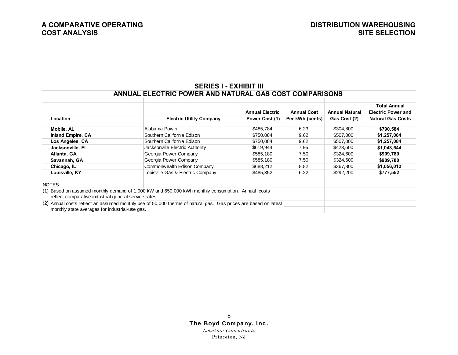|                                                       | <b>SERIES I - EXHIBIT III</b>                                                                                   |                        |                    |                       |                           |
|-------------------------------------------------------|-----------------------------------------------------------------------------------------------------------------|------------------------|--------------------|-----------------------|---------------------------|
|                                                       | ANNUAL ELECTRIC POWER AND NATURAL GAS COST COMPARISONS                                                          |                        |                    |                       |                           |
|                                                       |                                                                                                                 |                        |                    |                       | <b>Total Annual</b>       |
|                                                       |                                                                                                                 | <b>Annual Electric</b> | <b>Annual Cost</b> | <b>Annual Natural</b> | <b>Electric Power and</b> |
| Location                                              | <b>Electric Utility Company</b>                                                                                 | Power Cost (1)         | Per kWh (cents)    | Gas Cost (2)          | <b>Natural Gas Costs</b>  |
| Mobile, AL                                            | Alabama Power                                                                                                   | \$485,784              | 6.23               | \$304,800             | \$790,584                 |
| <b>Inland Empire, CA</b>                              | Southern California Edison                                                                                      | \$750,084              | 9.62               | \$507,000             | \$1,257,084               |
| Los Angeles, CA                                       | Southern California Edison                                                                                      | \$750,084              | 9.62               | \$507,000             | \$1,257,084               |
| Jacksonville, FL                                      | Jacksonville Electric Authority                                                                                 | \$619,944              | 7.95               | \$423,600             | \$1,043,544               |
| Atlanta, GA                                           | Georgia Power Company                                                                                           | \$585,180              | 7.50               | \$324,600             | \$909,780                 |
| Savannah, GA                                          | Georgia Power Company                                                                                           | \$585,180              | 7.50               | \$324,600             | \$909,780                 |
| Chicago, IL                                           | Commonwealth Edison Company                                                                                     | \$688,212              | 8.82               | \$367,800             | \$1,056,012               |
| Louisville, KY                                        | Louisville Gas & Electric Company                                                                               | \$485,352              | 6.22               | \$292,200             | \$777,552                 |
|                                                       |                                                                                                                 |                        |                    |                       |                           |
| NOTES:                                                |                                                                                                                 |                        |                    |                       |                           |
|                                                       | (1) Based on assumed monthly demand of 1,000 kW and 650,000 kWh monthly consumption. Annual costs               |                        |                    |                       |                           |
| reflect comparative industrial general service rates. |                                                                                                                 |                        |                    |                       |                           |
|                                                       | (2) Annual costs reflect an assumed monthly use of 50,000 therms of natural gas. Gas prices are based on latest |                        |                    |                       |                           |
| monthly state averages for industrial-use gas.        |                                                                                                                 |                        |                    |                       |                           |

### 8 The Boyd Company, Inc.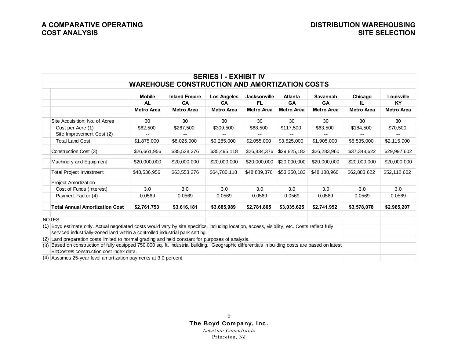|                                                                                                                                                                                                                                 |                   |                                                      | <b>SERIES I - EXHIBIT IV</b> |                     |                   |                   |                   |                   |
|---------------------------------------------------------------------------------------------------------------------------------------------------------------------------------------------------------------------------------|-------------------|------------------------------------------------------|------------------------------|---------------------|-------------------|-------------------|-------------------|-------------------|
|                                                                                                                                                                                                                                 |                   | <b>WAREHOUSE CONSTRUCTION AND AMORTIZATION COSTS</b> |                              |                     |                   |                   |                   |                   |
|                                                                                                                                                                                                                                 | <b>Mobile</b>     | <b>Inland Empire</b>                                 | <b>Los Angeles</b>           | <b>Jacksonville</b> | <b>Atlanta</b>    | Savannah          | Chicago           | Louisville        |
|                                                                                                                                                                                                                                 | <b>AL</b>         | <b>CA</b>                                            | <b>CA</b>                    | <b>FL</b>           | <b>GA</b>         | <b>GA</b>         | IL.               | <b>KY</b>         |
|                                                                                                                                                                                                                                 | <b>Metro Area</b> | <b>Metro Area</b>                                    | <b>Metro Area</b>            | <b>Metro Area</b>   | <b>Metro Area</b> | <b>Metro Area</b> | <b>Metro Area</b> | <b>Metro Area</b> |
| Site Acquisition: No. of Acres                                                                                                                                                                                                  | 30                | 30                                                   | 30                           | 30                  | 30                | 30                | 30                | 30                |
| Cost per Acre (1)                                                                                                                                                                                                               | \$62,500          | \$267,500                                            | \$309,500                    | \$68,500            | \$117,500         | \$63,500          | \$184,500         | \$70,500          |
| Site Improvement Cost (2)                                                                                                                                                                                                       |                   |                                                      |                              |                     |                   |                   |                   |                   |
| <b>Total Land Cost</b>                                                                                                                                                                                                          | \$1,875,000       | \$8,025,000                                          | \$9,285,000                  | \$2,055,000         | \$3,525,000       | \$1,905,000       | \$5,535,000       | \$2,115,000       |
| Construction Cost (3)                                                                                                                                                                                                           | \$26,661,956      | \$35,528,276                                         | \$35,495,118                 | \$26,834,376        | \$29,825,183      | \$26,283,960      | \$37,348,622      | \$29,997,602      |
| Machinery and Equipment                                                                                                                                                                                                         | \$20,000,000      | \$20,000,000                                         | \$20,000,000                 | \$20,000,000        | \$20,000,000      | \$20,000,000      | \$20,000,000      | \$20,000,000      |
| <b>Total Project Investment</b>                                                                                                                                                                                                 | \$48,536,956      | \$63,553,276                                         | \$64,780,118                 | \$48,889,376        | \$53,350,183      | \$48,188,960      | \$62,883,622      | \$52,112,602      |
| <b>Project Amortization</b>                                                                                                                                                                                                     |                   |                                                      |                              |                     |                   |                   |                   |                   |
| Cost of Funds (Interest)                                                                                                                                                                                                        | 3.0               | 3.0                                                  | 3.0                          | 3.0                 | 3.0               | 3.0               | 3.0               | 3.0               |
| Payment Factor (4)                                                                                                                                                                                                              | 0.0569            | 0.0569                                               | 0.0569                       | 0.0569              | 0.0569            | 0.0569            | 0.0569            | 0.0569            |
| <b>Total Annual Amortization Cost</b>                                                                                                                                                                                           | \$2,761,753       | \$3,616,181                                          | \$3,685,989                  | \$2,781,805         | \$3,035,625       | \$2,741,952       | \$3,578,078       | \$2,965,207       |
| NOTES:                                                                                                                                                                                                                          |                   |                                                      |                              |                     |                   |                   |                   |                   |
| (1) Boyd estimate only. Actual negotiated costs would vary by site specifics, including location, access, visibility, etc. Costs reflect fully<br>serviced industrially-zoned land within a controlled industrial park setting. |                   |                                                      |                              |                     |                   |                   |                   |                   |
| $(2)$ Land preparation costs limited to normal grading and held constant for purposes of analysis.                                                                                                                              |                   |                                                      |                              |                     |                   |                   |                   |                   |
| (3) Based on construction of fully equipped 750,000 sq. ft. industrial building. Geographic differentials in building costs are based on latest                                                                                 |                   |                                                      |                              |                     |                   |                   |                   |                   |
| BizCosts® construction cost index data.                                                                                                                                                                                         |                   |                                                      |                              |                     |                   |                   |                   |                   |
| (4) Assumes 25-year level amortization payments at 3.0 percent.                                                                                                                                                                 |                   |                                                      |                              |                     |                   |                   |                   |                   |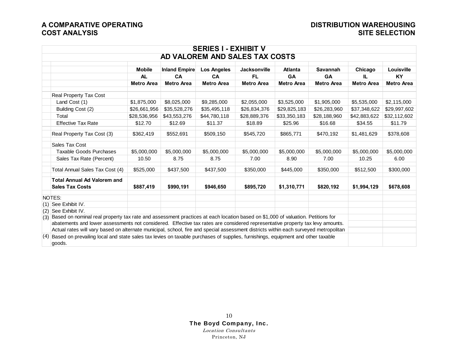|                                                                                                                                       |                   |                   | <b>SERIES I - EXHIBIT V</b>    |                     |                   |                   |                   |                   |
|---------------------------------------------------------------------------------------------------------------------------------------|-------------------|-------------------|--------------------------------|---------------------|-------------------|-------------------|-------------------|-------------------|
|                                                                                                                                       |                   |                   | AD VALOREM AND SALES TAX COSTS |                     |                   |                   |                   |                   |
|                                                                                                                                       | <b>Mobile</b>     | Inland Empire     | <b>Los Angeles</b>             | <b>Jacksonville</b> | <b>Atlanta</b>    | Savannah          | Chicago           | Louisville        |
|                                                                                                                                       | <b>AL</b>         | <b>CA</b>         | <b>CA</b>                      | <b>FL</b>           | GA                | GA                | IL.               | <b>KY</b>         |
|                                                                                                                                       | <b>Metro Area</b> | <b>Metro Area</b> | Metro Area                     | <b>Metro Area</b>   | <b>Metro Area</b> | <b>Metro Area</b> | <b>Metro Area</b> | <b>Metro Area</b> |
|                                                                                                                                       |                   |                   |                                |                     |                   |                   |                   |                   |
| Real Property Tax Cost                                                                                                                |                   |                   |                                |                     |                   |                   |                   |                   |
| Land Cost (1)                                                                                                                         | \$1,875,000       | \$8,025,000       | \$9,285,000                    | \$2,055,000         | \$3,525,000       | \$1,905,000       | \$5,535,000       | \$2,115,000       |
| Building Cost (2)                                                                                                                     | \$26,661,956      | \$35,528,276      | \$35,495,118                   | \$26,834,376        | \$29,825,183      | \$26,283,960      | \$37,348,622      | \$29,997,602      |
| Total                                                                                                                                 | \$28,536,956      | \$43,553,276      | \$44,780,118                   | \$28,889,376        | \$33,350,183      | \$28,188,960      | \$42,883,622      | \$32,112,602      |
| <b>Effective Tax Rate</b>                                                                                                             | \$12.70           | \$12.69           | \$11.37                        | \$18.89             | \$25.96           | \$16.68           | \$34.55           | \$11.79           |
| Real Property Tax Cost (3)                                                                                                            | \$362,419         | \$552,691         | \$509,150                      | \$545,720           | \$865,771         | \$470,192         | \$1,481,629       | \$378,608         |
| Sales Tax Cost                                                                                                                        |                   |                   |                                |                     |                   |                   |                   |                   |
| <b>Taxable Goods Purchases</b>                                                                                                        | \$5,000,000       | \$5,000,000       | \$5,000,000                    | \$5,000,000         | \$5,000,000       | \$5,000,000       | \$5,000,000       | \$5,000,000       |
| Sales Tax Rate (Percent)                                                                                                              | 10.50             | 8.75              | 8.75                           | 7.00                | 8.90              | 7.00              | 10.25             | 6.00              |
| Total Annual Sales Tax Cost (4)                                                                                                       | \$525,000         | \$437,500         | \$437,500                      | \$350,000           | \$445,000         | \$350,000         | \$512,500         | \$300,000         |
| <b>Total Annual Ad Valorem and</b><br><b>Sales Tax Costs</b>                                                                          | \$887,419         | \$990,191         | \$946,650                      | \$895,720           | \$1,310,771       | \$820,192         | \$1,994,129       | \$678,608         |
| NOTES:                                                                                                                                |                   |                   |                                |                     |                   |                   |                   |                   |
| (1) See Exhibit IV.                                                                                                                   |                   |                   |                                |                     |                   |                   |                   |                   |
| $(2)$ See Exhibit IV.                                                                                                                 |                   |                   |                                |                     |                   |                   |                   |                   |
| (3) Based on nominal real property tax rate and assessment practices at each location based on \$1,000 of valuation. Petitions for    |                   |                   |                                |                     |                   |                   |                   |                   |
| abatements and lower assessments not considered. Effective tax rates are considered representative property tax levy amounts.         |                   |                   |                                |                     |                   |                   |                   |                   |
| Actual rates will vary based on alternate municipal, school, fire and special assessment districts within each surveyed metropolitan  |                   |                   |                                |                     |                   |                   |                   |                   |
| $(4)$ Based on prevailing local and state sales tax levies on taxable purchases of supplies, furnishings, equipment and other taxable |                   |                   |                                |                     |                   |                   |                   |                   |
| goods.                                                                                                                                |                   |                   |                                |                     |                   |                   |                   |                   |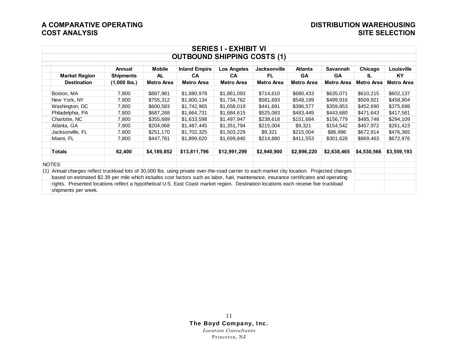| <b>SERIES I - EXHIBIT VI</b>                                                                                                                 |                  |               |                                    |                   |                     |                   |                   |                   |                   |  |
|----------------------------------------------------------------------------------------------------------------------------------------------|------------------|---------------|------------------------------------|-------------------|---------------------|-------------------|-------------------|-------------------|-------------------|--|
|                                                                                                                                              |                  |               | <b>OUTBOUND SHIPPING COSTS (1)</b> |                   |                     |                   |                   |                   |                   |  |
|                                                                                                                                              | Annual           | <b>Mobile</b> | <b>Inland Empire</b>               | Los Angeles       | <b>Jacksonville</b> | <b>Atlanta</b>    | <b>Savannah</b>   | Chicago           | Louisville        |  |
| <b>Market Region</b>                                                                                                                         | <b>Shipments</b> | <b>AL</b>     | <b>CA</b>                          | <b>CA</b>         | FL.                 | <b>GA</b>         | <b>GA</b>         | IL.               | <b>KY</b>         |  |
| <b>Destination</b>                                                                                                                           | $(1,000$ lbs.)   | Metro Area    | Metro Area                         | <b>Metro Area</b> | Metro Area          | <b>Metro Area</b> | <b>Metro Area</b> | <b>Metro Area</b> | <b>Metro Area</b> |  |
|                                                                                                                                              |                  |               |                                    |                   |                     |                   |                   |                   |                   |  |
| Boston, MA                                                                                                                                   | 7,800            | \$887,981     | \$1,880,978                        | \$1,861,093       | \$714,610           | \$680,433         | \$635,071         | \$610,215         | \$602,137         |  |
| New York, NY                                                                                                                                 | 7,800            | \$755,312     | \$1,800,134                        | \$1,734,762       | \$581,693           | \$548,199         | \$499,916         | \$509,921         | \$458,904         |  |
| Washington, DC                                                                                                                               | 7,800            | \$600,583     | \$1,742,965                        | \$1,658,019       | \$441,691           | \$396,577         | \$359,853         | \$452,690         | \$375,698         |  |
| Philadelphia, PA                                                                                                                             | 7,800            | \$687,268     | \$1,664,731                        | \$1,684,615       | \$525,083           | \$483,449         | \$443,680         | \$471,643         | \$417,581         |  |
| Charlotte, NC                                                                                                                                | 7,800            | \$355,689     | \$1,633,598                        | \$1,497,947       | \$238,618           | \$151,684         | \$156,779         | \$485,748         | \$294,109         |  |
| Atlanta, GA                                                                                                                                  | 7,800            | \$204,068     | \$1,487,445                        | \$1,351,794       | \$215,004           | \$9,321           | \$154,542         | \$457,972         | \$261,423         |  |
| Jacksonville, FL                                                                                                                             | 7,800            | \$251,170     | \$1,702,325                        | \$1,503,229       | \$9,321             | \$215,004         | \$86,996          | \$672,914         | \$476,365         |  |
| Miami, FL                                                                                                                                    | 7,800            | \$447,781     | \$1,899,620                        | \$1,699,840       | \$214,880           | \$411,553         | \$301,628         | \$869,463         | \$672,976         |  |
|                                                                                                                                              |                  |               |                                    |                   |                     |                   |                   |                   |                   |  |
| <b>Totals</b>                                                                                                                                | 62,400           | \$4,189,852   | \$13,811,796                       | \$12,991,299      | \$2,940,900         | \$2,896,220       | \$2,638,465       | \$4,530,566       | \$3,559,193       |  |
|                                                                                                                                              |                  |               |                                    |                   |                     |                   |                   |                   |                   |  |
| NOTES:                                                                                                                                       |                  |               |                                    |                   |                     |                   |                   |                   |                   |  |
| (1) Annual charges reflect truckload lots of 30,000 lbs. using private over-the-road carrier to each market city location. Projected charges |                  |               |                                    |                   |                     |                   |                   |                   |                   |  |
| based on estimated \$2.39 per mile which includes cost factors such as labor, fuel, maintenance, insurance certificates and operating        |                  |               |                                    |                   |                     |                   |                   |                   |                   |  |
| rights. Presented locations reflect a hypothetical U.S. East Coast market region. Destination locations each receive five truckload          |                  |               |                                    |                   |                     |                   |                   |                   |                   |  |
| shipments per week.                                                                                                                          |                  |               |                                    |                   |                     |                   |                   |                   |                   |  |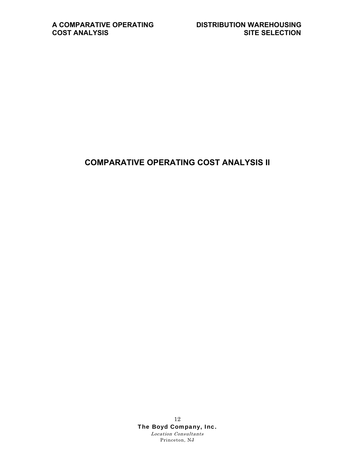### **COMPARATIVE OPERATING COST ANALYSIS II**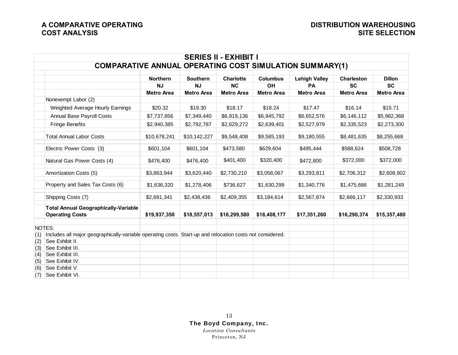|     |                                                                                                           |                   |                   | <b>SERIES II - EXHIBIT I</b> |                   |                      |                   |                   |
|-----|-----------------------------------------------------------------------------------------------------------|-------------------|-------------------|------------------------------|-------------------|----------------------|-------------------|-------------------|
|     | <b>COMPARATIVE ANNUAL OPERATING COST SIMULATION SUMMARY(1)</b>                                            |                   |                   |                              |                   |                      |                   |                   |
|     |                                                                                                           | <b>Northern</b>   | <b>Southern</b>   | <b>Charlotte</b>             | <b>Columbus</b>   | <b>Lehigh Valley</b> | <b>Charleston</b> | <b>Dillon</b>     |
|     |                                                                                                           | NJ                | <b>NJ</b>         | NC                           | OH                | PA                   | <b>SC</b>         | <b>SC</b>         |
|     |                                                                                                           | <b>Metro Area</b> | <b>Metro Area</b> | <b>Metro Area</b>            | <b>Metro Area</b> | <b>Metro Area</b>    | <b>Metro Area</b> | <b>Metro Area</b> |
|     | Nonexempt Labor (2)                                                                                       |                   |                   |                              |                   |                      |                   |                   |
|     | Weighted Average Hourly Earnings                                                                          | \$20.32           | \$19.30           | \$18.17                      | \$18.24           | \$17.47              | \$16.14           | \$15.71           |
|     | Annual Base Payroll Costs                                                                                 | \$7,737,856       | \$7,349,440       | \$6,919,136                  | \$6,945,792       | \$6,652,576          | \$6,146,112       | \$5,982,368       |
|     | <b>Fringe Benefits</b>                                                                                    | \$2,940,385       | \$2,792,787       | \$2,629,272                  | \$2,639,401       | \$2,527,979          | \$2,335,523       | \$2,273,300       |
|     | <b>Total Annual Labor Costs</b>                                                                           | \$10,678,241      | \$10,142,227      | \$9,548,408                  | \$9,585,193       | \$9,180,555          | \$8,481,635       | \$8,255,668       |
|     | Electric Power Costs (3)                                                                                  | \$601,104         | \$601,104         | \$473,580                    | \$629,604         | \$495,444            | \$588,624         | \$508,728         |
|     | Natural Gas Power Costs (4)                                                                               | \$476,400         | \$476,400         | \$401,400                    | \$320,400         | \$472,800            | \$372,000         | \$372,000         |
|     | Amortization Costs (5)                                                                                    | \$3,863,944       | \$3,620,440       | \$2,730,210                  | \$3,058,067       | \$3,293,811          | \$2,706,312       | \$2,608,902       |
|     | Property and Sales Tax Costs (6)                                                                          | \$1,636,320       | \$1,278,406       | \$736,627                    | \$1,630,299       | \$1,340,776          | \$1,475,686       | \$1,281,249       |
|     | Shipping Costs (7)                                                                                        | \$2,681,341       | \$2,438,436       | \$2,409,355                  | \$3,184,614       | \$2,567,874          | \$2,666,117       | \$2,330,933       |
|     | <b>Total Annual Geographically-Variable</b><br><b>Operating Costs</b>                                     | \$19,937,350      | \$18,557,013      | \$16,299,580                 | \$18,408,177      | \$17,351,260         | \$16,290,374      | \$15,357,480      |
|     | NOTES:                                                                                                    |                   |                   |                              |                   |                      |                   |                   |
| (1) | Includes all major geographically-variable operating costs. Start-up and relocation costs not considered. |                   |                   |                              |                   |                      |                   |                   |
| (2) | See Exhibit II.                                                                                           |                   |                   |                              |                   |                      |                   |                   |
| (3) | See Exhibit III.                                                                                          |                   |                   |                              |                   |                      |                   |                   |
| (4) | See Exhibit III.                                                                                          |                   |                   |                              |                   |                      |                   |                   |
| (5) | See Exhibit IV.                                                                                           |                   |                   |                              |                   |                      |                   |                   |
| (6) | See Exhibit V.                                                                                            |                   |                   |                              |                   |                      |                   |                   |
| (7) | See Exhibit VI.                                                                                           |                   |                   |                              |                   |                      |                   |                   |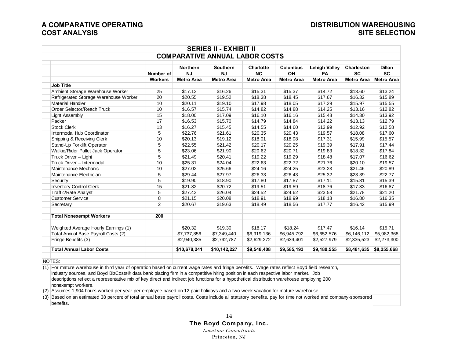|                                                                                                                                                                                                                                                                                   |                     |                              | <b>SERIES II - EXHIBIT II</b>         |                        |                       |                            |                         |                            |
|-----------------------------------------------------------------------------------------------------------------------------------------------------------------------------------------------------------------------------------------------------------------------------------|---------------------|------------------------------|---------------------------------------|------------------------|-----------------------|----------------------------|-------------------------|----------------------------|
|                                                                                                                                                                                                                                                                                   |                     |                              | <b>COMPARATIVE ANNUAL LABOR COSTS</b> |                        |                       |                            |                         |                            |
|                                                                                                                                                                                                                                                                                   |                     |                              |                                       |                        |                       |                            |                         |                            |
|                                                                                                                                                                                                                                                                                   | Number of           | <b>Northern</b><br><b>NJ</b> | Southern<br><b>NJ</b>                 | <b>Charlotte</b><br>NC | <b>Columbus</b><br>OH | <b>Lehigh Valley</b><br>PA | <b>Charleston</b><br>SC | <b>Dillon</b><br><b>SC</b> |
|                                                                                                                                                                                                                                                                                   | <b>Workers</b>      | <b>Metro Area</b>            | <b>Metro Area</b>                     | <b>Metro Area</b>      | <b>Metro Area</b>     | <b>Metro Area</b>          | <b>Metro Area</b>       | <b>Metro Area</b>          |
| <b>Job Title</b>                                                                                                                                                                                                                                                                  |                     |                              |                                       |                        |                       |                            |                         |                            |
| Ambient Storage Warehouse Worker                                                                                                                                                                                                                                                  | 25                  | \$17.12                      | \$16.26                               | \$15.31                | \$15.37               | \$14.72                    | \$13.60                 | \$13.24                    |
| Refrigerated Storage Warehouse Worker                                                                                                                                                                                                                                             | 20                  | \$20.55                      | \$19.52                               | \$18.38                | \$18.45               | \$17.67                    | \$16.32                 | \$15.89                    |
| <b>Material Handler</b>                                                                                                                                                                                                                                                           | 10                  | \$20.11                      | \$19.10                               | \$17.98                | \$18.05               | \$17.29                    | \$15.97                 | \$15.55                    |
| Order Selector/Reach Truck                                                                                                                                                                                                                                                        | 10                  | \$16.57                      | \$15.74                               | \$14.82                | \$14.88               | \$14.25                    | \$13.16                 | \$12.82                    |
| <b>Light Assembly</b>                                                                                                                                                                                                                                                             | 15                  | \$18.00                      | \$17.09                               | \$16.10                | \$16.16               | \$15.48                    | \$14.30                 | \$13.92                    |
| Packer                                                                                                                                                                                                                                                                            | 17                  | \$16.53                      | \$15.70                               | \$14.79                | \$14.84               | \$14.22                    | \$13.13                 | \$12.79                    |
| <b>Stock Clerk</b>                                                                                                                                                                                                                                                                | 13                  | \$16.27                      | \$15.45                               | \$14.55                | \$14.60               | \$13.99                    | \$12.92                 | \$12.58                    |
| Intermodal Hub Coordinator                                                                                                                                                                                                                                                        | 5                   | \$22.76                      | \$21.61                               | \$20.35                | \$20.43               | \$19.57                    | \$18.08                 | \$17.60                    |
| Shipping & Receiving Clerk                                                                                                                                                                                                                                                        | 10                  | \$20.13                      | \$19.12                               | \$18.01                | \$18.08               | \$17.31                    | \$15.99                 | \$15.57                    |
| Stand-Up Forklift Operator                                                                                                                                                                                                                                                        | 5                   | \$22.55                      | \$21.42                               | \$20.17                | \$20.25               | \$19.39                    | \$17.91                 | \$17.44                    |
| Walkie/Rider Pallet Jack Operator                                                                                                                                                                                                                                                 | 5                   | \$23.06                      | \$21.90                               | \$20.62                | \$20.71               | \$19.83                    | \$18.32                 | \$17.84                    |
| Truck Driver - Light                                                                                                                                                                                                                                                              | 5                   | \$21.49                      | \$20.41                               | \$19.22                | \$19.29               | \$18.48                    | \$17.07                 | \$16.62                    |
| Truck Driver - Intermodal                                                                                                                                                                                                                                                         | 10                  | \$25.31                      | \$24.04                               | \$22.63                | \$22.72               | \$21.76                    | \$20.10                 | \$19.57                    |
| Maintenance Mechanic                                                                                                                                                                                                                                                              | 10                  | \$27.02                      | \$25.66                               | \$24.16                | \$24.25               | \$23.23                    | \$21.46                 | \$20.89                    |
| Maintenance Electrician                                                                                                                                                                                                                                                           | 5                   | \$29.44                      | \$27.97                               | \$26.33                | \$26.43               | \$25.32                    | \$23.39                 | \$22.77                    |
| Security                                                                                                                                                                                                                                                                          | 5                   | \$19.90                      | \$18.90                               | \$17.80                | \$17.87               | \$17.11                    | \$15.81                 | \$15.39                    |
| <b>Inventory Control Clerk</b>                                                                                                                                                                                                                                                    | 15                  | \$21.82                      | \$20.72                               | \$19.51                | \$19.59               | \$18.76                    | \$17.33                 | \$16.87                    |
| <b>Traffic/Rate Analyst</b>                                                                                                                                                                                                                                                       | 5                   | \$27.42                      | \$26.04                               |                        |                       |                            | \$21.78                 | \$21.20                    |
|                                                                                                                                                                                                                                                                                   |                     |                              |                                       | \$24.52                | \$24.62               | \$23.58                    |                         |                            |
| <b>Customer Service</b>                                                                                                                                                                                                                                                           | 8<br>$\overline{2}$ | \$21.15                      | \$20.08                               | \$18.91                | \$18.99               | \$18.18                    | \$16.80                 | \$16.35                    |
| Secretary                                                                                                                                                                                                                                                                         |                     | \$20.67                      | \$19.63                               | \$18.49                | \$18.56               | \$17.77                    | \$16.42                 | \$15.99                    |
| <b>Total Nonexempt Workers</b>                                                                                                                                                                                                                                                    | 200                 |                              |                                       |                        |                       |                            |                         |                            |
| Weighted Average Hourly Earnings (1)                                                                                                                                                                                                                                              |                     | \$20.32                      | \$19.30                               | \$18.17                | \$18.24               | \$17.47                    | \$16.14                 | \$15.71                    |
| Total Annual Base Payroll Costs (2)                                                                                                                                                                                                                                               |                     | \$7,737,856                  | \$7,349,440                           | \$6,919,136            | \$6,945,792           | \$6,652,576                | \$6,146,112             | \$5,982,368                |
| Fringe Benefits (3)                                                                                                                                                                                                                                                               |                     | \$2,940,385                  | \$2,792,787                           | \$2,629,272            | \$2,639,401           | \$2,527,979                | \$2,335,523             | \$2,273,300                |
|                                                                                                                                                                                                                                                                                   |                     |                              |                                       |                        |                       |                            |                         |                            |
| <b>Total Annual Labor Costs</b>                                                                                                                                                                                                                                                   |                     | \$10,678,241                 | \$10,142,227                          | \$9,548,408            | \$9,585,193           | \$9,180,555                | \$8,481,635             | \$8,255,668                |
| NOTES:                                                                                                                                                                                                                                                                            |                     |                              |                                       |                        |                       |                            |                         |                            |
| (1) For mature warehouse in third year of operation based on current wage rates and fringe benefits. Wage rates reflect Boyd field research,<br>industry sources, and Boyd BizCosts® data bank placing firm in a competitive hiring position in each respective labor market. Job |                     |                              |                                       |                        |                       |                            |                         |                            |
| descriptions reflect a representative mix of key direct and indirect job functions for a hypothetical distribution warehouse employing 200<br>nonexempt workers.                                                                                                                  |                     |                              |                                       |                        |                       |                            |                         |                            |
| (2) Assumes 1,904 hours worked per year per employee based on 12 paid holidays and a two-week vacation for mature warehouse.                                                                                                                                                      |                     |                              |                                       |                        |                       |                            |                         |                            |
| (3) Based on an estimated 38 percent of total annual base payroll costs. Costs include all statutory benefits, pay for time not worked and company-sponsored<br>benefits.                                                                                                         |                     |                              |                                       |                        |                       |                            |                         |                            |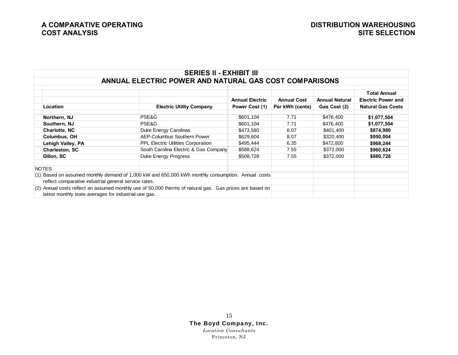|                                                                                                                                                                   | <b>SERIES II - EXHIBIT III</b>                         |                        |                    |                       |                                                  |
|-------------------------------------------------------------------------------------------------------------------------------------------------------------------|--------------------------------------------------------|------------------------|--------------------|-----------------------|--------------------------------------------------|
|                                                                                                                                                                   | ANNUAL ELECTRIC POWER AND NATURAL GAS COST COMPARISONS |                        |                    |                       |                                                  |
|                                                                                                                                                                   |                                                        | <b>Annual Electric</b> | <b>Annual Cost</b> | <b>Annual Natural</b> | <b>Total Annual</b><br><b>Electric Power and</b> |
| Location                                                                                                                                                          | <b>Electric Utility Company</b>                        | Power Cost (1)         | Per kWh (cents)    | Gas Cost (2)          | <b>Natural Gas Costs</b>                         |
| Northern, NJ                                                                                                                                                      | PSE&G                                                  | \$601,104              | 7.71               | \$476,400             | \$1,077,504                                      |
| Southern, NJ                                                                                                                                                      | PSE&G                                                  | \$601,104              | 7.71               | \$476,400             | \$1,077,504                                      |
| <b>Charlotte, NC</b>                                                                                                                                              | Duke Energy Carolinas                                  | \$473,580              | 6.07               | \$401,400             | \$874,980                                        |
| <b>Columbus, OH</b>                                                                                                                                               | AEP-Columbus Southern Power                            | \$629,604              | 8.07               | \$320,400             | \$950,004                                        |
| Lehigh Valley, PA                                                                                                                                                 | <b>PPL Electric Utilities Corporation</b>              | \$495,444              | 6.35               | \$472,800             | \$968,244                                        |
| <b>Charleston, SC</b>                                                                                                                                             | South Carolina Electric & Gas Company                  | \$588,624              | 7.55               | \$372,000             | \$960,624                                        |
| Dillon, SC                                                                                                                                                        | Duke Energy Progress                                   | \$508,728              | 7.55               | \$372,000             | \$880,728                                        |
| NOTES:                                                                                                                                                            |                                                        |                        |                    |                       |                                                  |
| $(1)$ Based on assumed monthly demand of 1,000 kW and 650,000 kWh monthly consumption. Annual costs<br>reflect comparative industrial general service rates.      |                                                        |                        |                    |                       |                                                  |
| (2) Annual costs reflect an assumed monthly use of 50,000 therms of natural gas. Gas prices are based on<br>latest monthly state averages for industrial-use gas. |                                                        |                        |                    |                       |                                                  |

### 15 The Boyd Company, Inc.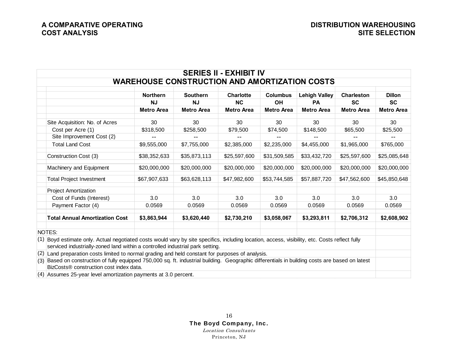|                                                                                                                                                                                                                                 |                                                      |                   | <b>SERIES II - EXHIBIT IV</b> |                   |                      |                   |                   |
|---------------------------------------------------------------------------------------------------------------------------------------------------------------------------------------------------------------------------------|------------------------------------------------------|-------------------|-------------------------------|-------------------|----------------------|-------------------|-------------------|
|                                                                                                                                                                                                                                 | <b>WAREHOUSE CONSTRUCTION AND AMORTIZATION COSTS</b> |                   |                               |                   |                      |                   |                   |
|                                                                                                                                                                                                                                 | <b>Northern</b>                                      | <b>Southern</b>   | <b>Charlotte</b>              | <b>Columbus</b>   | <b>Lehigh Valley</b> | <b>Charleston</b> | <b>Dillon</b>     |
|                                                                                                                                                                                                                                 | <b>NJ</b>                                            | <b>NJ</b>         | <b>NC</b>                     | <b>OH</b>         | <b>PA</b>            | <b>SC</b>         | <b>SC</b>         |
|                                                                                                                                                                                                                                 | <b>Metro Area</b>                                    | <b>Metro Area</b> | <b>Metro Area</b>             | <b>Metro Area</b> | <b>Metro Area</b>    | <b>Metro Area</b> | <b>Metro Area</b> |
| Site Acquisition: No. of Acres                                                                                                                                                                                                  | 30                                                   | 30                | 30                            | 30                | 30                   | 30                | 30                |
| Cost per Acre (1)                                                                                                                                                                                                               | \$318,500                                            | \$258,500         | \$79,500                      | \$74,500          | \$148,500            | \$65,500          | \$25,500          |
| Site Improvement Cost (2)                                                                                                                                                                                                       |                                                      |                   |                               |                   |                      |                   |                   |
| <b>Total Land Cost</b>                                                                                                                                                                                                          | \$9,555,000                                          | \$7,755,000       | \$2,385,000                   | \$2,235,000       | \$4,455,000          | \$1,965,000       | \$765,000         |
| Construction Cost (3)                                                                                                                                                                                                           | \$38,352,633                                         | \$35,873,113      | \$25,597,600                  | \$31,509,585      | \$33,432,720         | \$25,597,600      | \$25,085,648      |
| Machinery and Equipment                                                                                                                                                                                                         | \$20,000,000                                         | \$20,000,000      | \$20,000,000                  | \$20,000,000      | \$20,000,000         | \$20,000,000      | \$20,000,000      |
| <b>Total Project Investment</b>                                                                                                                                                                                                 | \$67,907,633                                         | \$63,628,113      | \$47,982,600                  | \$53,744,585      | \$57,887,720         | \$47,562,600      | \$45,850,648      |
| <b>Project Amortization</b>                                                                                                                                                                                                     |                                                      |                   |                               |                   |                      |                   |                   |
| Cost of Funds (Interest)                                                                                                                                                                                                        | 3.0                                                  | 3.0               | 3.0                           | 3.0               | 3.0                  | 3.0               | 3.0               |
| Payment Factor (4)                                                                                                                                                                                                              | 0.0569                                               | 0.0569            | 0.0569                        | 0.0569            | 0.0569               | 0.0569            | 0.0569            |
| <b>Total Annual Amortization Cost</b>                                                                                                                                                                                           | \$3,863,944                                          | \$3,620,440       | \$2,730,210                   | \$3,058,067       | \$3,293,811          | \$2,706,312       | \$2,608,902       |
| NOTES:                                                                                                                                                                                                                          |                                                      |                   |                               |                   |                      |                   |                   |
| (1) Boyd estimate only. Actual negotiated costs would vary by site specifics, including location, access, visibility, etc. Costs reflect fully<br>serviced industrially-zoned land within a controlled industrial park setting. |                                                      |                   |                               |                   |                      |                   |                   |
| Land preparation costs limited to normal grading and held constant for purposes of analysis.<br>(2)                                                                                                                             |                                                      |                   |                               |                   |                      |                   |                   |
| (3) Based on construction of fully equipped 750,000 sq. ft. industrial building. Geographic differentials in building costs are based on latest<br>BizCosts® construction cost index data.                                      |                                                      |                   |                               |                   |                      |                   |                   |
| $(4)$ Assumes 25-year level amortization payments at 3.0 percent.                                                                                                                                                               |                                                      |                   |                               |                   |                      |                   |                   |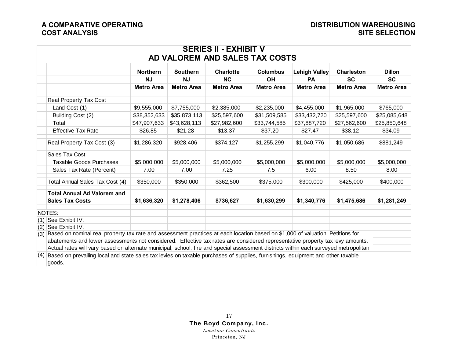| <b>SERIES II - EXHIBIT V</b>                                                                                                           |                   |                   |                                |                   |                      |                   |                   |  |
|----------------------------------------------------------------------------------------------------------------------------------------|-------------------|-------------------|--------------------------------|-------------------|----------------------|-------------------|-------------------|--|
|                                                                                                                                        |                   |                   | AD VALOREM AND SALES TAX COSTS |                   |                      |                   |                   |  |
|                                                                                                                                        | <b>Northern</b>   | <b>Southern</b>   | <b>Charlotte</b>               | <b>Columbus</b>   | <b>Lehigh Valley</b> | <b>Charleston</b> | <b>Dillon</b>     |  |
|                                                                                                                                        | <b>NJ</b>         | <b>NJ</b>         | <b>NC</b>                      | <b>OH</b>         | <b>PA</b>            | <b>SC</b>         | <b>SC</b>         |  |
|                                                                                                                                        | <b>Metro Area</b> | <b>Metro Area</b> | <b>Metro Area</b>              | <b>Metro Area</b> | <b>Metro Area</b>    | <b>Metro Area</b> | <b>Metro Area</b> |  |
| Real Property Tax Cost                                                                                                                 |                   |                   |                                |                   |                      |                   |                   |  |
| Land Cost (1)                                                                                                                          | \$9,555,000       | \$7,755,000       | \$2,385,000                    | \$2,235,000       | \$4,455,000          | \$1,965,000       | \$765,000         |  |
| Building Cost (2)                                                                                                                      | \$38,352,633      | \$35,873,113      | \$25,597,600                   | \$31,509,585      | \$33,432,720         | \$25,597,600      | \$25,085,648      |  |
| Total                                                                                                                                  | \$47,907,633      | \$43,628,113      | \$27,982,600                   | \$33,744,585      | \$37,887,720         | \$27,562,600      | \$25,850,648      |  |
| <b>Effective Tax Rate</b>                                                                                                              | \$26.85           | \$21.28           | \$13.37                        | \$37.20           | \$27.47              | \$38.12           | \$34.09           |  |
| Real Property Tax Cost (3)                                                                                                             | \$1,286,320       | \$928,406         | \$374,127                      | \$1,255,299       | \$1,040,776          | \$1,050,686       | \$881,249         |  |
| Sales Tax Cost                                                                                                                         |                   |                   |                                |                   |                      |                   |                   |  |
| <b>Taxable Goods Purchases</b>                                                                                                         | \$5,000,000       | \$5,000,000       | \$5,000,000                    | \$5,000,000       | \$5,000,000          | \$5,000,000       | \$5,000,000       |  |
| Sales Tax Rate (Percent)                                                                                                               | 7.00              | 7.00              | 7.25                           | 7.5               | 6.00                 | 8.50              | 8.00              |  |
| Total Annual Sales Tax Cost (4)                                                                                                        | \$350,000         | \$350,000         | \$362,500                      | \$375,000         | \$300,000            | \$425,000         | \$400,000         |  |
| <b>Total Annual Ad Valorem and</b>                                                                                                     |                   |                   |                                |                   |                      |                   |                   |  |
| <b>Sales Tax Costs</b>                                                                                                                 | \$1,636,320       | \$1,278,406       | \$736,627                      | \$1,630,299       | \$1,340,776          | \$1,475,686       | \$1,281,249       |  |
| NOTES:                                                                                                                                 |                   |                   |                                |                   |                      |                   |                   |  |
| $(1)$ See Exhibit IV.                                                                                                                  |                   |                   |                                |                   |                      |                   |                   |  |
| See Exhibit IV.<br>(2)                                                                                                                 |                   |                   |                                |                   |                      |                   |                   |  |
| Based on nominal real property tax rate and assessment practices at each location based on \$1,000 of valuation. Petitions for<br>(3)  |                   |                   |                                |                   |                      |                   |                   |  |
| abatements and lower assessments not considered. Effective tax rates are considered representative property tax levy amounts.          |                   |                   |                                |                   |                      |                   |                   |  |
| Actual rates will vary based on alternate municipal, school, fire and special assessment districts within each surveyed metropolitan   |                   |                   |                                |                   |                      |                   |                   |  |
| Based on prevailing local and state sales tax levies on taxable purchases of supplies, furnishings, equipment and other taxable<br>(4) |                   |                   |                                |                   |                      |                   |                   |  |
| goods.                                                                                                                                 |                   |                   |                                |                   |                      |                   |                   |  |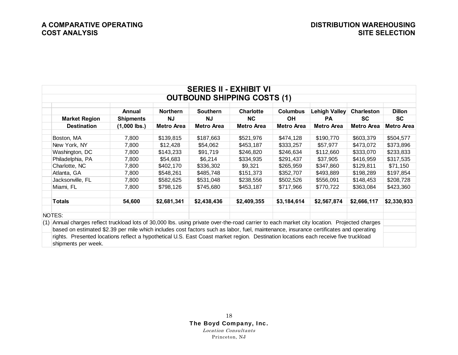| <b>SERIES II - EXHIBIT VI</b> |                                                                                                                                              |                            |                              |                              |                                    |                              |                            |                                |                     |
|-------------------------------|----------------------------------------------------------------------------------------------------------------------------------------------|----------------------------|------------------------------|------------------------------|------------------------------------|------------------------------|----------------------------|--------------------------------|---------------------|
|                               |                                                                                                                                              |                            |                              |                              | <b>OUTBOUND SHIPPING COSTS (1)</b> |                              |                            |                                |                     |
|                               |                                                                                                                                              |                            |                              |                              |                                    |                              |                            |                                |                     |
|                               | <b>Market Region</b>                                                                                                                         | Annual<br><b>Shipments</b> | <b>Northern</b><br><b>NJ</b> | <b>Southern</b><br><b>NJ</b> | <b>Charlotte</b><br><b>NC</b>      | <b>Columbus</b><br><b>OH</b> | Lehigh Valley<br><b>PA</b> | <b>Charleston</b><br><b>SC</b> | <b>Dillon</b><br>SC |
|                               | <b>Destination</b>                                                                                                                           | $(1,000$ lbs.)             | <b>Metro Area</b>            | <b>Metro Area</b>            | <b>Metro Area</b>                  | <b>Metro Area</b>            | <b>Metro Area</b>          | <b>Metro Area</b>              | <b>Metro Area</b>   |
|                               |                                                                                                                                              |                            |                              |                              |                                    |                              |                            |                                |                     |
|                               | Boston, MA                                                                                                                                   | 7,800                      | \$139,815                    | \$187,663                    | \$521,976                          | \$474,128                    | \$190,770                  | \$603,379                      | \$504,577           |
|                               | New York, NY                                                                                                                                 | 7,800                      | \$12,428                     | \$54,062                     | \$453,187                          | \$333,257                    | \$57,977                   | \$473,072                      | \$373,896           |
|                               | Washington, DC                                                                                                                               | 7,800                      | \$143,233                    | \$91,719                     | \$246,820                          | \$246,634                    | \$112,660                  | \$333,070                      | \$233,833           |
|                               | Philadelphia, PA                                                                                                                             | 7,800                      | \$54,683                     | \$6,214                      | \$334,935                          | \$291,437                    | \$37,905                   | \$416,959                      | \$317,535           |
|                               | Charlotte, NC                                                                                                                                | 7,800                      | \$402,170                    | \$336,302                    | \$9,321                            | \$265,959                    | \$347,860                  | \$129,811                      | \$71,150            |
|                               | Atlanta, GA                                                                                                                                  | 7,800                      | \$548,261                    | \$485,748                    | \$151,373                          | \$352,707                    | \$493,889                  | \$198,289                      | \$197,854           |
|                               | Jacksonville, FL                                                                                                                             | 7,800                      | \$582,625                    | \$531,048                    | \$238,556                          | \$502,526                    | \$556,091                  | \$148,453                      | \$208,728           |
|                               | Miami, FL                                                                                                                                    | 7,800                      | \$798,126                    | \$745,680                    | \$453,187                          | \$717,966                    | \$770,722                  | \$363,084                      | \$423,360           |
|                               |                                                                                                                                              |                            |                              |                              |                                    |                              |                            |                                |                     |
|                               | Totals                                                                                                                                       | 54,600                     | \$2,681,341                  | \$2,438,436                  | \$2,409,355                        | \$3,184,614                  | \$2,567,874                | \$2,666,117                    | \$2,330,933         |
|                               |                                                                                                                                              |                            |                              |                              |                                    |                              |                            |                                |                     |
|                               | NOTES:                                                                                                                                       |                            |                              |                              |                                    |                              |                            |                                |                     |
|                               | (1) Annual charges reflect truckload lots of 30,000 lbs. using private over-the-road carrier to each market city location. Projected charges |                            |                              |                              |                                    |                              |                            |                                |                     |
|                               | based on estimated \$2.39 per mile which includes cost factors such as labor, fuel, maintenance, insurance certificates and operating        |                            |                              |                              |                                    |                              |                            |                                |                     |
|                               | rights. Presented locations reflect a hypothetical U.S. East Coast market region. Destination locations each receive five truckload          |                            |                              |                              |                                    |                              |                            |                                |                     |
|                               | shipments per week.                                                                                                                          |                            |                              |                              |                                    |                              |                            |                                |                     |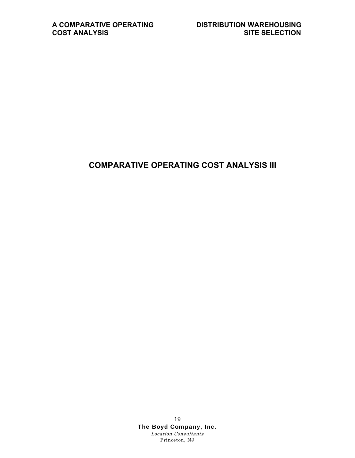### **COMPARATIVE OPERATING COST ANALYSIS III**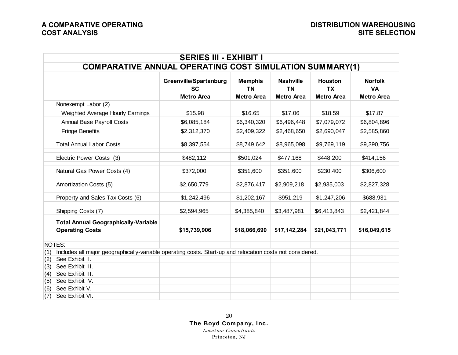|     | <b>SERIES III - EXHIBIT I</b>                                                                             |                        |                   |                   |                   |                   |  |  |  |
|-----|-----------------------------------------------------------------------------------------------------------|------------------------|-------------------|-------------------|-------------------|-------------------|--|--|--|
|     | <b>COMPARATIVE ANNUAL OPERATING COST SIMULATION SUMMARY(1)</b>                                            |                        |                   |                   |                   |                   |  |  |  |
|     |                                                                                                           | Greenville/Spartanburg | <b>Memphis</b>    | <b>Nashville</b>  | <b>Houston</b>    | <b>Norfolk</b>    |  |  |  |
|     |                                                                                                           | <b>SC</b>              | <b>TN</b>         | <b>TN</b>         | <b>TX</b>         | <b>VA</b>         |  |  |  |
|     |                                                                                                           | <b>Metro Area</b>      | <b>Metro Area</b> | <b>Metro Area</b> | <b>Metro Area</b> | <b>Metro Area</b> |  |  |  |
|     | Nonexempt Labor (2)                                                                                       |                        |                   |                   |                   |                   |  |  |  |
|     | Weighted Average Hourly Earnings                                                                          | \$15.98                | \$16.65           | \$17.06           | \$18.59           | \$17.87           |  |  |  |
|     | <b>Annual Base Payroll Costs</b>                                                                          | \$6,085,184            | \$6,340,320       | \$6,496,448       | \$7,079,072       | \$6,804,896       |  |  |  |
|     | <b>Fringe Benefits</b>                                                                                    | \$2,312,370            | \$2,409,322       | \$2,468,650       | \$2,690,047       | \$2,585,860       |  |  |  |
|     | <b>Total Annual Labor Costs</b>                                                                           | \$8,397,554            | \$8,749,642       | \$8,965,098       | \$9,769,119       | \$9,390,756       |  |  |  |
|     | Electric Power Costs (3)                                                                                  | \$482,112              | \$501,024         | \$477,168         | \$448,200         | \$414,156         |  |  |  |
|     | Natural Gas Power Costs (4)                                                                               | \$372,000              | \$351,600         | \$351,600         | \$230,400         | \$306,600         |  |  |  |
|     | Amortization Costs (5)                                                                                    | \$2,650,779            | \$2,876,417       | \$2,909,218       | \$2,935,003       | \$2,827,328       |  |  |  |
|     | Property and Sales Tax Costs (6)                                                                          | \$1,242,496            | \$1,202,167       | \$951,219         | \$1,247,206       | \$688,931         |  |  |  |
|     | Shipping Costs (7)                                                                                        | \$2,594,965            | \$4,385,840       | \$3,487,981       | \$6,413,843       | \$2,421,844       |  |  |  |
|     | <b>Total Annual Geographically-Variable</b><br><b>Operating Costs</b>                                     | \$15,739,906           | \$18,066,690      | \$17,142,284      | \$21,043,771      | \$16,049,615      |  |  |  |
|     | NOTES:                                                                                                    |                        |                   |                   |                   |                   |  |  |  |
| (1) | Includes all major geographically-variable operating costs. Start-up and relocation costs not considered. |                        |                   |                   |                   |                   |  |  |  |
| (2) | See Exhibit II.                                                                                           |                        |                   |                   |                   |                   |  |  |  |
| (3) | See Exhibit III.                                                                                          |                        |                   |                   |                   |                   |  |  |  |
| (4) | See Exhibit III.                                                                                          |                        |                   |                   |                   |                   |  |  |  |
| (5) | See Exhibit IV.                                                                                           |                        |                   |                   |                   |                   |  |  |  |
| (6) | See Exhibit V.                                                                                            |                        |                   |                   |                   |                   |  |  |  |
| (7) | See Exhibit VI.                                                                                           |                        |                   |                   |                   |                   |  |  |  |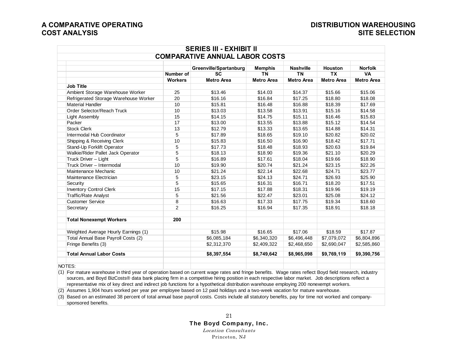## **A COMPARATIVE OPERATING DISTRIBUTION WAREHOUSING**

|                                       |                | Greenville/Spartanburg | <b>Memphis</b>    | <b>Nashville</b>  | Houston           | <b>Norfolk</b>    |
|---------------------------------------|----------------|------------------------|-------------------|-------------------|-------------------|-------------------|
|                                       | Number of      | <b>SC</b>              | <b>TN</b>         | <b>TN</b>         | <b>TX</b>         | <b>VA</b>         |
|                                       | <b>Workers</b> | <b>Metro Area</b>      | <b>Metro Area</b> | <b>Metro Area</b> | <b>Metro Area</b> | <b>Metro Area</b> |
| <b>Job Title</b>                      |                |                        |                   |                   |                   |                   |
| Ambient Storage Warehouse Worker      | 25             | \$13.46                | \$14.03           | \$14.37           | \$15.66           | \$15.06           |
| Refrigerated Storage Warehouse Worker | 20             | \$16.16                | \$16.84           | \$17.25           | \$18.80           | \$18.08           |
| <b>Material Handler</b>               | 10             | \$15.81                | \$16.48           | \$16.88           | \$18.39           | \$17.69           |
| Order Selector/Reach Truck            | 10             | \$13.03                | \$13.58           | \$13.91           | \$15.16           | \$14.58           |
| <b>Light Assembly</b>                 | 15             | \$14.15                | \$14.75           | \$15.11           | \$16.46           | \$15.83           |
| Packer                                | 17             | \$13.00                | \$13.55           | \$13.88           | \$15.12           | \$14.54           |
| <b>Stock Clerk</b>                    | 13             | \$12.79                | \$13.33           | \$13.65           | \$14.88           | \$14.31           |
| Intermodal Hub Coordinator            | 5              | \$17.89                | \$18.65           | \$19.10           | \$20.82           | \$20.02           |
| Shipping & Receiving Clerk            | 10             | \$15.83                | \$16.50           | \$16.90           | \$18.42           | \$17.71           |
| Stand-Up Forklift Operator            | 5              | \$17.73                | \$18.48           | \$18.93           | \$20.63           | \$19.84           |
| Walkie/Rider Pallet Jack Operator     | 5              | \$18.13                | \$18.90           | \$19.36           | \$21.10           | \$20.29           |
| Truck Driver - Light                  | 5              | \$16.89                | \$17.61           | \$18.04           | \$19.66           | \$18.90           |
| Truck Driver - Intermodal             | 10             | \$19.90                | \$20.74           | \$21.24           | \$23.15           | \$22.26           |
| Maintenance Mechanic                  | 10             | \$21.24                | \$22.14           | \$22.68           | \$24.71           | \$23.77           |
| Maintenance Electrician               | 5              | \$23.15                | \$24.13           | \$24.71           | \$26.93           | \$25.90           |
| Security                              | 5              | \$15.65                | \$16.31           | \$16.71           | \$18.20           | \$17.51           |
| <b>Inventory Control Clerk</b>        | 15             | \$17.15                | \$17.88           | \$18.31           | \$19.96           | \$19.19           |
| <b>Traffic/Rate Analyst</b>           | 5              | \$21.56                | \$22.47           | \$23.01           | \$25.08           | \$24.12           |
| <b>Customer Service</b>               | 8              | \$16.63                | \$17.33           | \$17.75           | \$19.34           | \$18.60           |
| Secretary                             | $\overline{2}$ | \$16.25                | \$16.94           | \$17.35           | \$18.91           | \$18.18           |
| <b>Total Nonexempt Workers</b>        | 200            |                        |                   |                   |                   |                   |
| Weighted Average Hourly Earnings (1)  |                | \$15.98                | \$16.65           | \$17.06           | \$18.59           | \$17.87           |
| Total Annual Base Payroll Costs (2)   |                | \$6,085,184            | \$6,340,320       | \$6,496,448       | \$7,079,072       | \$6,804,896       |
| Fringe Benefits (3)                   |                | \$2,312,370            | \$2,409,322       | \$2,468,650       | \$2,690,047       | \$2,585,860       |
| <b>Total Annual Labor Costs</b>       |                | \$8,397,554            | \$8,749,642       | \$8,965,098       | \$9,769,119       | \$9,390,756       |
| NOTES:                                |                |                        |                   |                   |                   |                   |

(2) Assumes 1,904 hours worked per year per employee based on 12 paid holidays and a two-week vacation for mature warehouse.

(3) Based on an estimated 38 percent of total annual base payroll costs. Costs include all statutory benefits, pay for time not worked and companysponsored benefits.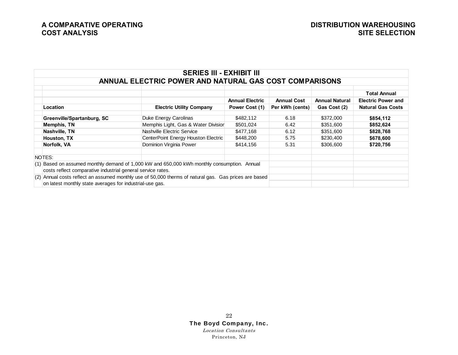| <b>SERIES III - EXHIBIT III</b>                                                                                                                                     |                                     |                        |                    |                       |                           |  |  |  |  |
|---------------------------------------------------------------------------------------------------------------------------------------------------------------------|-------------------------------------|------------------------|--------------------|-----------------------|---------------------------|--|--|--|--|
| ANNUAL ELECTRIC POWER AND NATURAL GAS COST COMPARISONS                                                                                                              |                                     |                        |                    |                       |                           |  |  |  |  |
|                                                                                                                                                                     |                                     |                        |                    |                       | <b>Total Annual</b>       |  |  |  |  |
|                                                                                                                                                                     |                                     | <b>Annual Electric</b> | <b>Annual Cost</b> | <b>Annual Natural</b> | <b>Electric Power and</b> |  |  |  |  |
| Location                                                                                                                                                            | <b>Electric Utility Company</b>     | Power Cost (1)         | Per kWh (cents)    | Gas Cost (2)          | <b>Natural Gas Costs</b>  |  |  |  |  |
| Greenville/Spartanburg, SC                                                                                                                                          | Duke Energy Carolinas               | \$482,112              | 6.18               | \$372,000             | \$854,112                 |  |  |  |  |
| <b>Memphis, TN</b>                                                                                                                                                  | Memphis Light, Gas & Water Divisior | \$501,024              | 6.42               | \$351,600             | \$852,624                 |  |  |  |  |
| Nashville, TN                                                                                                                                                       | Nashville Electric Service          | \$477,168              | 6.12               | \$351,600             | \$828,768                 |  |  |  |  |
| Houston, TX                                                                                                                                                         | CenterPoint Energy Houston Electric | \$448,200              | 5.75               | \$230,400             | \$678,600                 |  |  |  |  |
| Norfolk, VA                                                                                                                                                         | Dominion Virginia Power             | \$414.156              | 5.31               | \$306,600             | \$720,756                 |  |  |  |  |
| NOTES:                                                                                                                                                              |                                     |                        |                    |                       |                           |  |  |  |  |
| $(1)$ Based on assumed monthly demand of 1,000 kW and 650,000 kWh monthly consumption. Annual<br>costs reflect comparative industrial general service rates.        |                                     |                        |                    |                       |                           |  |  |  |  |
| $(2)$ Annual costs reflect an assumed monthly use of 50,000 therms of natural gas. Gas prices are based<br>on latest monthly state averages for industrial-use gas. |                                     |                        |                    |                       |                           |  |  |  |  |

### 22 The Boyd Company, Inc.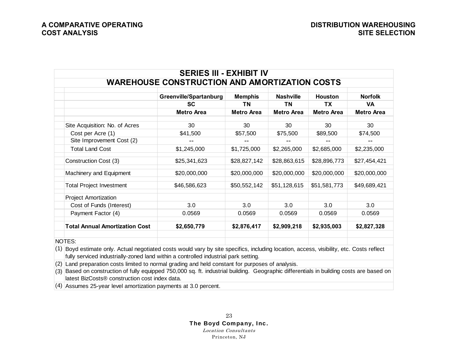| <b>SERIES III - EXHIBIT IV</b>                        |  |                                                                                                                                                                                                                             |                   |                   |                   |                   |  |  |
|-------------------------------------------------------|--|-----------------------------------------------------------------------------------------------------------------------------------------------------------------------------------------------------------------------------|-------------------|-------------------|-------------------|-------------------|--|--|
|                                                       |  | <b>WAREHOUSE CONSTRUCTION AND AMORTIZATION COSTS</b>                                                                                                                                                                        |                   |                   |                   |                   |  |  |
|                                                       |  | Greenville/Spartanburg                                                                                                                                                                                                      | <b>Memphis</b>    | <b>Nashville</b>  | <b>Houston</b>    | <b>Norfolk</b>    |  |  |
|                                                       |  | <b>SC</b>                                                                                                                                                                                                                   | ΤN                | <b>TN</b>         | <b>TX</b>         | <b>VA</b>         |  |  |
|                                                       |  | <b>Metro Area</b>                                                                                                                                                                                                           | <b>Metro Area</b> | <b>Metro Area</b> | <b>Metro Area</b> | <b>Metro Area</b> |  |  |
| Site Acquisition: No. of Acres                        |  | 30                                                                                                                                                                                                                          | 30                | 30                | 30                | 30                |  |  |
| Cost per Acre (1)                                     |  | \$41,500                                                                                                                                                                                                                    | \$57,500          | \$75,500          | \$89,500          | \$74,500          |  |  |
| Site Improvement Cost (2)                             |  |                                                                                                                                                                                                                             |                   |                   |                   |                   |  |  |
| <b>Total Land Cost</b>                                |  | \$1,245,000                                                                                                                                                                                                                 | \$1,725,000       | \$2,265,000       | \$2,685,000       | \$2,235,000       |  |  |
| Construction Cost (3)                                 |  | \$25,341,623                                                                                                                                                                                                                | \$28,827,142      | \$28,863,615      | \$28,896,773      | \$27,454,421      |  |  |
| Machinery and Equipment                               |  | \$20,000,000                                                                                                                                                                                                                | \$20,000,000      | \$20,000,000      | \$20,000,000      | \$20,000,000      |  |  |
| <b>Total Project Investment</b>                       |  | \$46,586,623                                                                                                                                                                                                                | \$50,552,142      | \$51,128,615      | \$51,581,773      | \$49,689,421      |  |  |
| <b>Project Amortization</b>                           |  |                                                                                                                                                                                                                             |                   |                   |                   |                   |  |  |
| Cost of Funds (Interest)                              |  | 3.0                                                                                                                                                                                                                         | 3.0               | 3.0               | 3.0               | 3.0               |  |  |
| Payment Factor (4)                                    |  | 0.0569                                                                                                                                                                                                                      | 0.0569            | 0.0569            | 0.0569            | 0.0569            |  |  |
| <b>Total Annual Amortization Cost</b>                 |  | \$2,650,779                                                                                                                                                                                                                 | \$2,876,417       | \$2,909,218       | \$2,935,003       | \$2,827,328       |  |  |
| NOTES:                                                |  |                                                                                                                                                                                                                             |                   |                   |                   |                   |  |  |
| (1)                                                   |  | Boyd estimate only. Actual negotiated costs would vary by site specifics, including location, access, visibility, etc. Costs reflect<br>fully serviced industrially-zoned land within a controlled industrial park setting. |                   |                   |                   |                   |  |  |
| (2)                                                   |  | Land preparation costs limited to normal grading and held constant for purposes of analysis.                                                                                                                                |                   |                   |                   |                   |  |  |
| (3)<br>latest BizCosts® construction cost index data. |  | Based on construction of fully equipped 750,000 sq. ft. industrial building. Geographic differentials in building costs are based on                                                                                        |                   |                   |                   |                   |  |  |

(4) Assumes 25-year level amortization payments at 3.0 percent.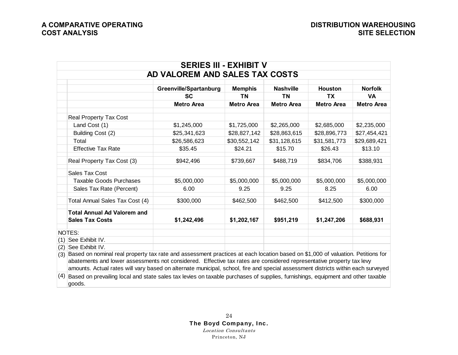|     |                                                                                                                                                                                                                                                          | <b>SERIES III - EXHIBIT V</b>  |                   |                   |                   |                   |
|-----|----------------------------------------------------------------------------------------------------------------------------------------------------------------------------------------------------------------------------------------------------------|--------------------------------|-------------------|-------------------|-------------------|-------------------|
|     |                                                                                                                                                                                                                                                          | AD VALOREM AND SALES TAX COSTS |                   |                   |                   |                   |
|     |                                                                                                                                                                                                                                                          | Greenville/Spartanburg         | <b>Memphis</b>    | <b>Nashville</b>  | <b>Houston</b>    | <b>Norfolk</b>    |
|     |                                                                                                                                                                                                                                                          | <b>SC</b>                      | <b>TN</b>         | <b>TN</b>         | <b>TX</b>         | <b>VA</b>         |
|     |                                                                                                                                                                                                                                                          | <b>Metro Area</b>              | <b>Metro Area</b> | <b>Metro Area</b> | <b>Metro Area</b> | <b>Metro Area</b> |
|     | <b>Real Property Tax Cost</b>                                                                                                                                                                                                                            |                                |                   |                   |                   |                   |
|     | Land Cost (1)                                                                                                                                                                                                                                            | \$1,245,000                    | \$1,725,000       | \$2,265,000       | \$2,685,000       | \$2,235,000       |
|     | Building Cost (2)                                                                                                                                                                                                                                        | \$25,341,623                   | \$28,827,142      | \$28,863,615      | \$28,896,773      | \$27,454,421      |
|     | Total                                                                                                                                                                                                                                                    | \$26,586,623                   | \$30,552,142      | \$31,128,615      | \$31,581,773      | \$29,689,421      |
|     | <b>Effective Tax Rate</b>                                                                                                                                                                                                                                | \$35.45                        | \$24.21           | \$15.70           | \$26.43           | \$13.10           |
|     | Real Property Tax Cost (3)                                                                                                                                                                                                                               | \$942,496                      | \$739,667         | \$488,719         | \$834,706         | \$388,931         |
|     | Sales Tax Cost                                                                                                                                                                                                                                           |                                |                   |                   |                   |                   |
|     | <b>Taxable Goods Purchases</b>                                                                                                                                                                                                                           | \$5,000,000                    | \$5,000,000       | \$5,000,000       | \$5,000,000       | \$5,000,000       |
|     | Sales Tax Rate (Percent)                                                                                                                                                                                                                                 | 6.00                           | 9.25              | 9.25              | 8.25              | 6.00              |
|     | Total Annual Sales Tax Cost (4)                                                                                                                                                                                                                          | \$300,000                      | \$462,500         | \$462,500         | \$412,500         | \$300,000         |
|     | <b>Total Annual Ad Valorem and</b><br><b>Sales Tax Costs</b>                                                                                                                                                                                             | \$1,242,496                    | \$1,202,167       | \$951,219         | \$1,247,206       | \$688,931         |
|     | NOTES:                                                                                                                                                                                                                                                   |                                |                   |                   |                   |                   |
| (1) | See Exhibit IV.                                                                                                                                                                                                                                          |                                |                   |                   |                   |                   |
| (2) | See Exhibit IV.                                                                                                                                                                                                                                          |                                |                   |                   |                   |                   |
| (3) | Based on nominal real property tax rate and assessment practices at each location based on \$1,000 of valuation. Petitions for                                                                                                                           |                                |                   |                   |                   |                   |
|     | abatements and lower assessments not considered. Effective tax rates are considered representative property tax levy<br>amounts. Actual rates will vary based on alternate municipal, school, fire and special assessment districts within each surveyed |                                |                   |                   |                   |                   |
| (4) | Based on prevailing local and state sales tax levies on taxable purchases of supplies, furnishings, equipment and other taxable<br>goods.                                                                                                                |                                |                   |                   |                   |                   |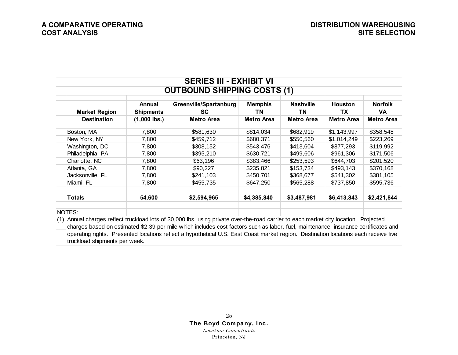| <b>SERIES III - EXHIBIT VI</b>     |                  |                                          |                   |                   |                |                   |  |  |  |  |
|------------------------------------|------------------|------------------------------------------|-------------------|-------------------|----------------|-------------------|--|--|--|--|
| <b>OUTBOUND SHIPPING COSTS (1)</b> |                  |                                          |                   |                   |                |                   |  |  |  |  |
|                                    | Annual           | Greenville/Spartanburg<br><b>Memphis</b> |                   | <b>Nashville</b>  | <b>Houston</b> | <b>Norfolk</b>    |  |  |  |  |
| <b>Market Region</b>               | <b>Shipments</b> | SC.                                      | ΤN                | ΤN                | TΧ             | VA.               |  |  |  |  |
| <b>Destination</b>                 | $(1,000$ lbs.)   | Metro Area                               | <b>Metro Area</b> | <b>Metro Area</b> | Metro Area     | <b>Metro Area</b> |  |  |  |  |
| Boston, MA                         | 7,800            | \$581,630                                | \$814,034         | \$682,919         | \$1,143,997    | \$358,548         |  |  |  |  |
| New York, NY                       | 7,800            | \$459,712                                | \$680,371         | \$550,560         | \$1,014,249    | \$223,269         |  |  |  |  |
| Washington, DC                     | 7,800            | \$308,152                                | \$543,476         | \$413,604         | \$877,293      | \$119,992         |  |  |  |  |
| Philadelphia, PA                   | 7,800            | \$395,210                                | \$630,721         | \$499,606         | \$961,306      | \$171,506         |  |  |  |  |
| Charlotte, NC                      | 7,800            | \$63,196                                 | \$383,466         | \$253,593         | \$644,703      | \$201,520         |  |  |  |  |
| Atlanta, GA                        | 7,800            | \$90,227                                 | \$235,821         | \$153,734         | \$493,143      | \$370,168         |  |  |  |  |
| Jacksonville, FL                   | 7,800            | \$241,103                                | \$450,701         | \$368,677         | \$541,302      | \$381,105         |  |  |  |  |
| Miami, FL                          | 7,800            | \$455,735                                | \$647,250         | \$565,288         | \$737,850      | \$595,736         |  |  |  |  |
| <b>Totals</b>                      | 54,600           | \$2,594,965                              | \$4,385,840       | \$3,487,981       | \$6,413,843    | \$2,421,844       |  |  |  |  |
| NOTES:                             |                  |                                          |                   |                   |                |                   |  |  |  |  |

Annual charges reflect truckload lots of 30,000 lbs. using private over-the-road carrier to each market city location. Projected (1) charges based on estimated \$2.39 per mile which includes cost factors such as labor, fuel, maintenance, insurance certificates and operating rights. Presented locations reflect a hypothetical U.S. East Coast market region. Destination locations each receive five truckload shipments per week.